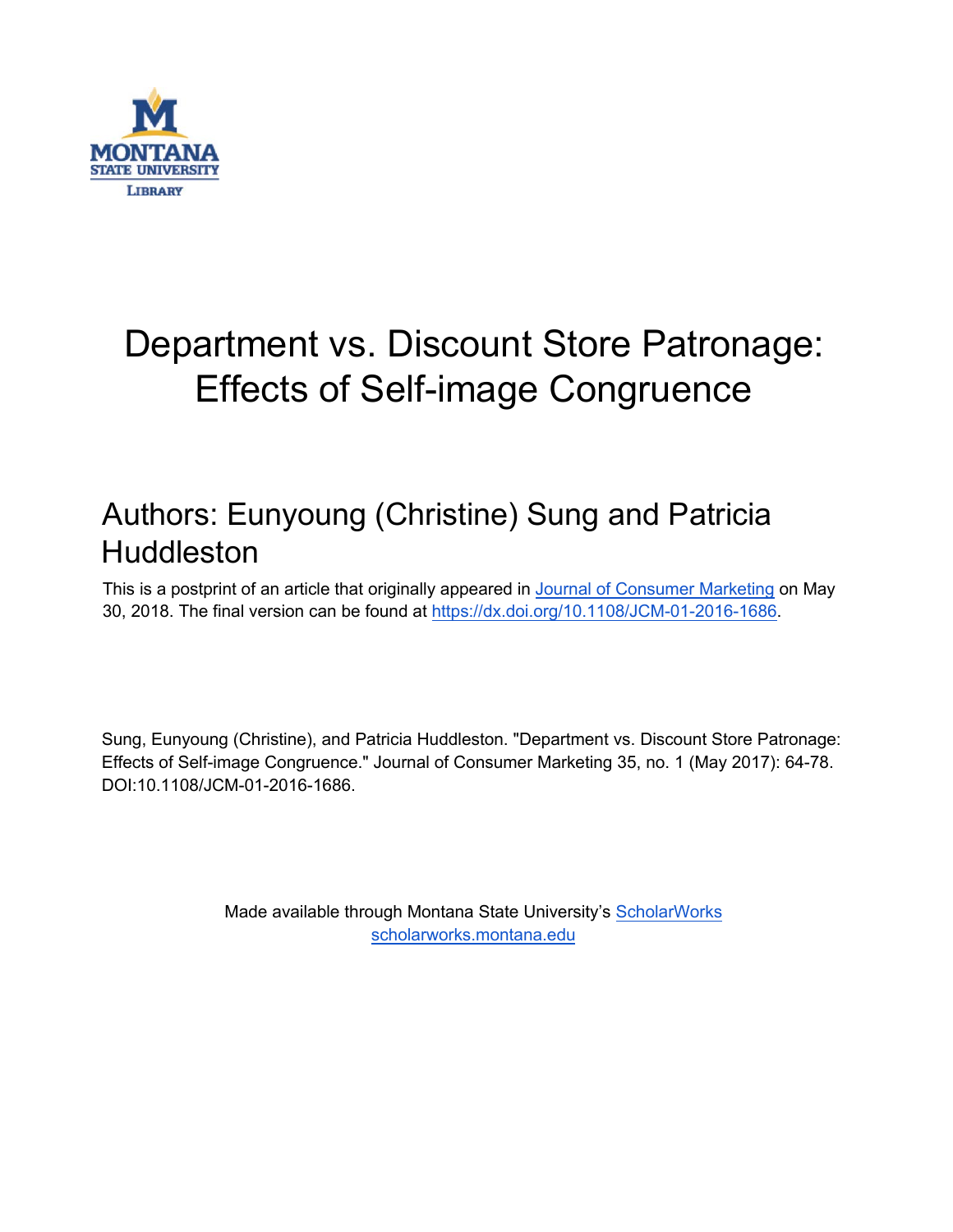

# Department vs. Discount Store Patronage: Effects of Self-image Congruence

# Authors: Eunyoung (Christine) Sung and Patricia Huddleston

This is a postprint of an article that originally appeared in [Journal of Consumer Marketing](https://www.emeraldinsight.com/loi/jcm) on May 30, 2018. The final version can be found at [https://dx.doi.org/10.1108/JCM-01-2016-1686.](https://dx.doi.org/10.1108/JCM-01-2016-1686)

Sung, Eunyoung (Christine), and Patricia Huddleston. "Department vs. Discount Store Patronage: Effects of Self-image Congruence." Journal of Consumer Marketing 35, no. 1 (May 2017): 64-78. DOI:10.1108/JCM-01-2016-1686.

> Made available through Montana State University's [ScholarWorks](http://scholarworks.montana.edu/) [scholarworks.montana.edu](http://scholarworks.montana.edu/)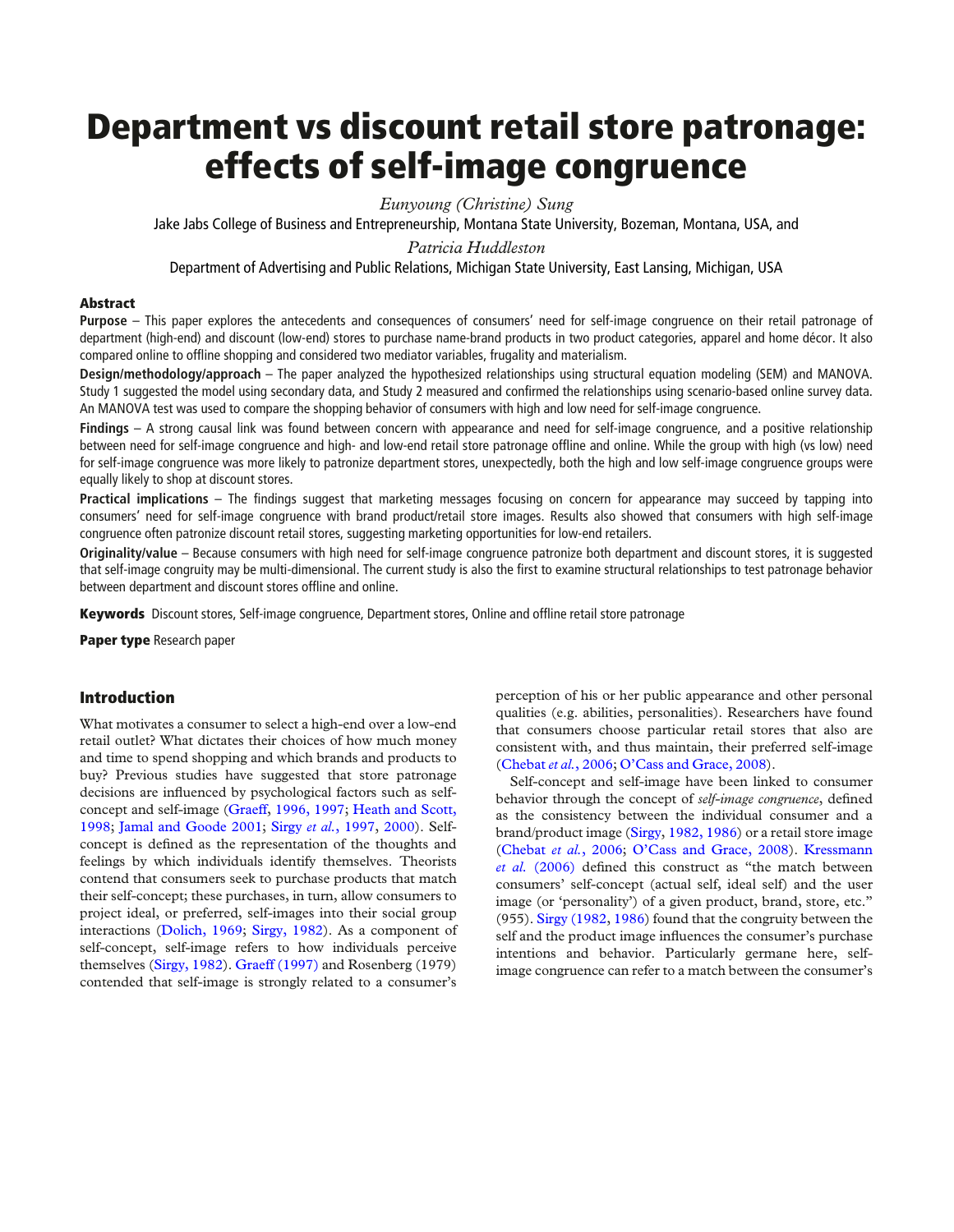# Department vs discount retail store patronage: effects of self-image congruence

Eunyoung (Christine) Sung

Jake Jabs College of Business and Entrepreneurship, Montana State University, Bozeman, Montana, USA, and

Patricia Huddleston

Department of Advertising and Public Relations, Michigan State University, East Lansing, Michigan, USA

#### Abstract

Purpose – This paper explores the antecedents and consequences of consumers' need for self-image congruence on their retail patronage of department (high-end) and discount (low-end) stores to purchase name-brand products in two product categories, apparel and home décor. It also compared online to offline shopping and considered two mediator variables, frugality and materialism.

Design/methodology/approach – The paper analyzed the hypothesized relationships using structural equation modeling (SEM) and MANOVA. Study 1 suggested the model using secondary data, and Study 2 measured and confirmed the relationships using scenario-based online survey data. An MANOVA test was used to compare the shopping behavior of consumers with high and low need for self-image congruence.

Findings – A strong causal link was found between concern with appearance and need for self-image congruence, and a positive relationship between need for self-image congruence and high- and low-end retail store patronage offline and online. While the group with high (vs low) need for self-image congruence was more likely to patronize department stores, unexpectedly, both the high and low self-image congruence groups were equally likely to shop at discount stores.

Practical implications – The findings suggest that marketing messages focusing on concern for appearance may succeed by tapping into consumers' need for self-image congruence with brand product/retail store images. Results also showed that consumers with high self-image congruence often patronize discount retail stores, suggesting marketing opportunities for low-end retailers.

Originality/value – Because consumers with high need for self-image congruence patronize both department and discount stores, it is suggested that self-image congruity may be multi-dimensional. The current study is also the first to examine structural relationships to test patronage behavior between department and discount stores offline and online.

Keywords Discount stores, Self-image congruence, Department stores, Online and offline retail store patronage

Paper type Research paper

#### Introduction

What motivates a consumer to select a high-end over a low-end retail outlet? What dictates their choices of how much money and time to spend shopping and which brands and products to buy? Previous studies have suggested that store patronage decisions are influenced by psychological factors such as selfconcept and self-image [\(Graeff,](#page-10-0) [1996, 1997](#page-11-0); [Heath and Scott,](#page-11-1) [1998;](#page-11-1) [Jamal and Goode 2001;](#page-11-2) Sirgy et al.[, 1997,](#page-11-3) [2000](#page-11-4)). Selfconcept is defined as the representation of the thoughts and feelings by which individuals identify themselves. Theorists contend that consumers seek to purchase products that match their self-concept; these purchases, in turn, allow consumers to project ideal, or preferred, self-images into their social group interactions [\(Dolich, 1969](#page-10-1); [Sirgy, 1982](#page-11-5)). As a component of self-concept, self-image refers to how individuals perceive themselves [\(Sirgy, 1982](#page-11-5)). [Graeff \(1997\)](#page-11-0) and Rosenberg (1979) contended that self-image is strongly related to a consumer's

perception of his or her public appearance and other personal qualities (e.g. abilities, personalities). Researchers have found that consumers choose particular retail stores that also are consistent with, and thus maintain, their preferred self-image [\(Chebat](#page-10-2) et al., 2006; O'[Cass and Grace, 2008\)](#page-11-6).

Self-concept and self-image have been linked to consumer behavior through the concept of self-image congruence, defined as the consistency between the individual consumer and a brand/product image [\(Sirgy,](#page-11-5) [1982, 1986](#page-11-7)) or a retail store image [\(Chebat](#page-10-2) et al., 2006; O'[Cass and Grace, 2008](#page-11-6)). [Kressmann](#page-11-8) et al. [\(2006\)](#page-11-8) defined this construct as "the match between consumers' self-concept (actual self, ideal self) and the user image (or 'personality') of a given product, brand, store, etc." (955). [Sirgy \(1982,](#page-11-5) [1986](#page-11-7)) found that the congruity between the self and the product image influences the consumer's purchase intentions and behavior. Particularly germane here, selfimage congruence can refer to a match between the consumer's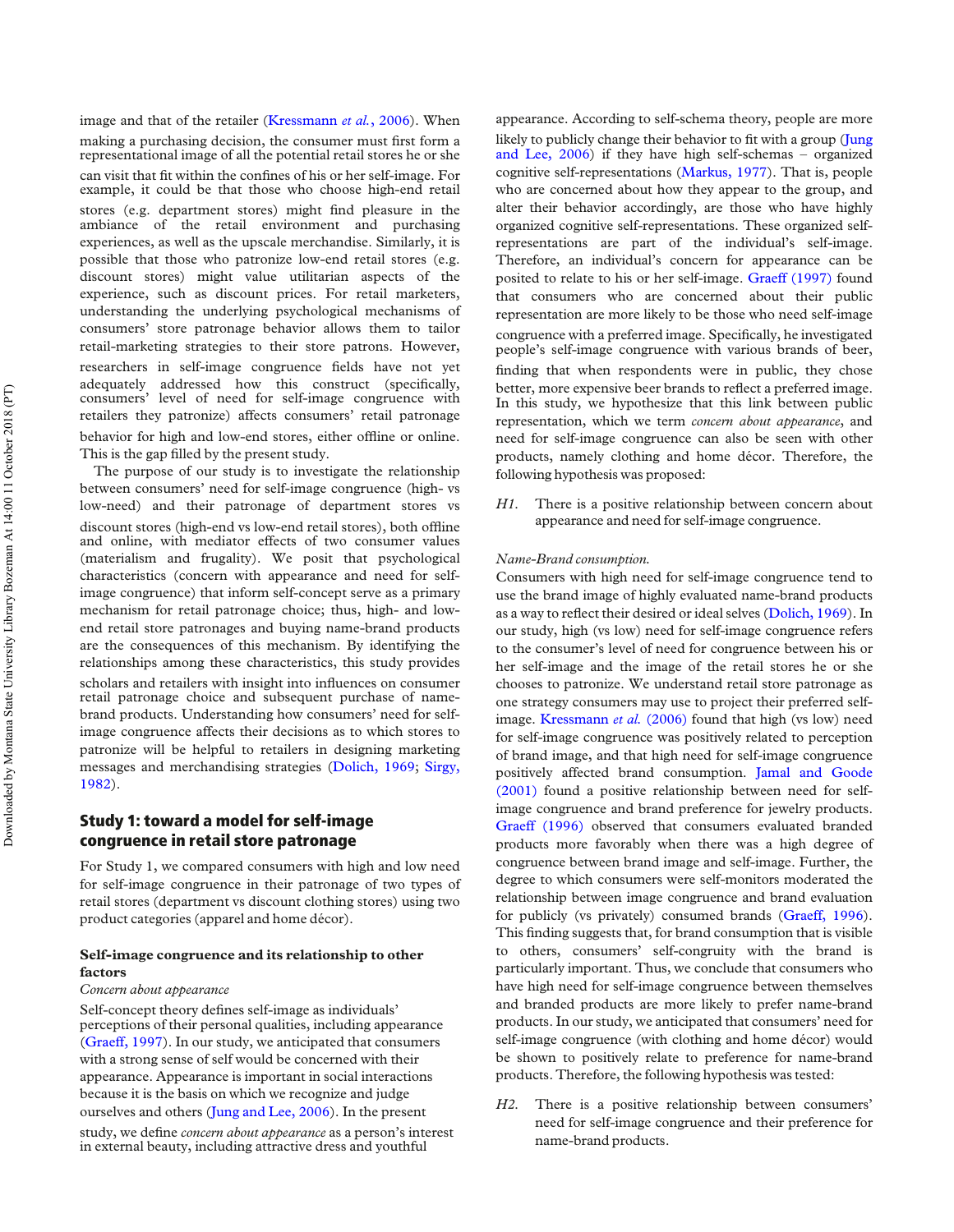image and that of the retailer [\(Kressmann](#page-11-8) et al., 2006). When making a purchasing decision, the consumer must first form a representational image of all the potential retail stores he or she can visit that fit within the confines of his or her self-image. For example, it could be that those who choose high-end retail stores (e.g. department stores) might find pleasure in the ambiance of the retail environment and purchasing experiences, as well as the upscale merchandise. Similarly, it is possible that those who patronize low-end retail stores (e.g. discount stores) might value utilitarian aspects of the experience, such as discount prices. For retail marketers, understanding the underlying psychological mechanisms of consumers' store patronage behavior allows them to tailor retail-marketing strategies to their store patrons. However, researchers in self-image congruence fields have not yet adequately addressed how this construct (specifically, consumers' level of need for self-image congruence with retailers they patronize) affects consumers' retail patronage behavior for high and low-end stores, either offline or online. This is the gap filled by the present study.

The purpose of our study is to investigate the relationship between consumers' need for self-image congruence (high- vs low-need) and their patronage of department stores vs discount stores (high-end vs low-end retail stores), both offline and online, with mediator effects of two consumer values (materialism and frugality). We posit that psychological characteristics (concern with appearance and need for selfimage congruence) that inform self-concept serve as a primary mechanism for retail patronage choice; thus, high- and lowend retail store patronages and buying name-brand products are the consequences of this mechanism. By identifying the relationships among these characteristics, this study provides scholars and retailers with insight into influences on consumer retail patronage choice and subsequent purchase of namebrand products. Understanding how consumers' need for selfimage congruence affects their decisions as to which stores to patronize will be helpful to retailers in designing marketing messages and merchandising strategies ([Dolich,](#page-10-1) 1969; [Sirgy,](#page-11-5) [1982\)](#page-11-5).

### Study 1: toward a model for self-image congruence in retail store patronage

For Study 1, we compared consumers with high and low need for self-image congruence in their patronage of two types of retail stores (department vs discount clothing stores) using two product categories (apparel and home décor).

#### Self-image congruence and its relationship to other factors

#### Concern about appearance

Self-concept theory defines self-image as individuals' perceptions of their personal qualities, including appearance [\(Graeff,](#page-11-0) 1997). In our study, we anticipated that consumers with a strong sense of self would be concerned with their appearance. Appearance is important in social interactions because it is the basis on which we recognize and judge ourselves and others (Jung and Lee, [2006\)](#page-11-9). In the present

study, we define concern about appearance as a person's interest in external beauty, including attractive dress and youthful

appearance. According to self-schema theory, people are more likely to publicly change their behavior to fit with a group [\(Jung](#page-11-9) and Lee, [2006](#page-11-9)) if they have high self-schemas – organized cognitive self-representations ([Markus,](#page-11-10) 1977). That is, people who are concerned about how they appear to the group, and alter their behavior accordingly, are those who have highly organized cognitive self-representations. These organized selfrepresentations are part of the individual's self-image. Therefore, an individual's concern for appearance can be posited to relate to his or her self-image. Graeff [\(1997\)](#page-11-0) found that consumers who are concerned about their public representation are more likely to be those who need self-image congruence with a preferred image. Specifically, he investigated people's self-image congruence with various brands of beer, finding that when respondents were in public, they chose better, more expensive beer brands to reflect a preferred image. In this study, we hypothesize that this link between public representation, which we term concern about appearance, and need for self-image congruence can also be seen with other products, namely clothing and home décor. Therefore, the following hypothesis was proposed:

appearance and need for self-image congruence. H1. There is a positive relationship between concern about

#### Name-Brand consumption.

Consumers with high need for self-image congruence tend to use the brand image of highly evaluated name-brand products as a way to reflect their desired or ideal selves [\(Dolich, 1969\)](#page-10-1). In our study, high (vs low) need for self-image congruence refers to the consumer's level of need for congruence between his or her self-image and the image of the retail stores he or she chooses to patronize. We understand retail store patronage as one strategy consumers may use to project their preferred self-image. [Kressmann](#page-11-8) et al. (2006) found that high (vs low) need for self-image congruence was positively related to perception of brand image, and that high need for self-image congruence positively affected brand consumption. [Jamal and Goode](#page-11-2) [\(2001\)](#page-11-2) found a positive relationship between need for selfimage congruence and brand preference for jewelry products. [Graeff \(1996\)](#page-10-0) observed that consumers evaluated branded products more favorably when there was a high degree of congruence between brand image and self-image. Further, the degree to which consumers were self-monitors moderated the relationship between image congruence and brand evaluation for publicly (vs privately) consumed brands ([Graeff, 1996\)](#page-10-0). This finding suggests that, for brand consumption that is visible to others, consumers' self-congruity with the brand is particularly important. Thus, we conclude that consumers who have high need for self-image congruence between themselves and branded products are more likely to prefer name-brand products. In our study, we anticipated that consumers' need for self-image congruence (with clothing and home décor) would be shown to positively relate to preference for name-brand products. Therefore, the following hypothesis was tested:

H2. There is a positive relationship between consumers' need for self-image congruence and their preference for name-brand products.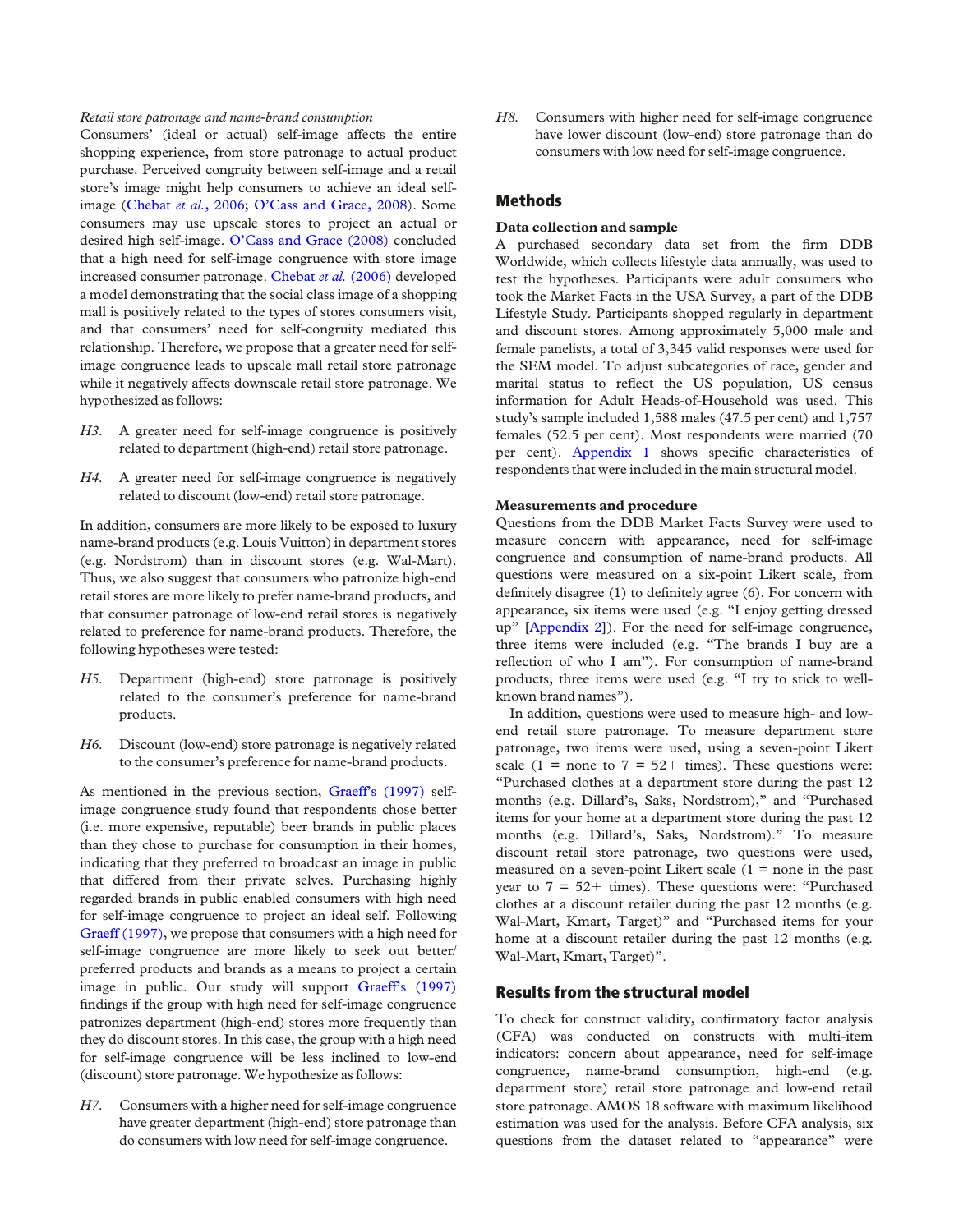Retail store patronage and name-brand consumption

Consumers' (ideal or actual) self-image affects the entire shopping experience, from store patronage to actual product purchase. Perceived congruity between self-image and a retail store's image might help consumers to achieve an ideal self-image ([Chebat](#page-10-2) et al., 2006; O'Cass and [Grace,](#page-11-6) 2008). Some consumers may use upscale stores to project an actual or desired high self-image. O'Cass and Grace [\(2008\)](#page-11-6) concluded that a high need for self-image congruence with store image increased consumer patronage. [Chebat](#page-10-2) et al. (2006) developed a model demonstrating that the social class image of a shopping mall is positively related to the types of stores consumers visit, and that consumers' need for self-congruity mediated this relationship. Therefore, we propose that a greater need for selfimage congruence leads to upscale mall retail store patronage while it negatively affects downscale retail store patronage. We hypothesized as follows:

- H3. A greater need for self-image congruence is positively related to department (high-end) retail store patronage.
- H4. A greater need for self-image congruence is negatively related to discount (low-end) retail store patronage.

In addition, consumers are more likely to be exposed to luxury name-brand products (e.g. Louis Vuitton) in department stores (e.g. Nordstrom) than in discount stores (e.g. Wal-Mart). Thus, we also suggest that consumers who patronize high-end retail stores are more likely to prefer name-brand products, and that consumer patronage of low-end retail stores is negatively related to preference for name-brand products. Therefore, the following hypotheses were tested:

- related to the consumer's preference for name-brand products. H5. Department (high-end) store patronage is positively
- H6. Discount (low-end) store patronage is negatively related to the consumer's preference for name-brand products.

As mentioned in the previous section, Graeff'[s \(1997\)](#page-11-0) selfimage congruence study found that respondents chose better (i.e. more expensive, reputable) beer brands in public places than they chose to purchase for consumption in their homes, indicating that they preferred to broadcast an image in public that differed from their private selves. Purchasing highly regarded brands in public enabled consumers with high need for self-image congruence to project an ideal self. Following [Graeff \(1997\)](#page-11-0), we propose that consumers with a high need for self-image congruence are more likely to seek out better/ preferred products and brands as a means to project a certain image in public. Our study will support Graeff'[s \(1997\)](#page-11-0) findings if the group with high need for self-image congruence patronizes department (high-end) stores more frequently than they do discount stores. In this case, the group with a high need for self-image congruence will be less inclined to low-end (discount) store patronage. We hypothesize as follows:

H7. Consumers with a higher need for self-image congruence have greater department (high-end) store patronage than do consumers with low need for self-image congruence.

H8. Consumers with higher need for self-image congruence have lower discount (low-end) store patronage than do consumers with low need for self-image congruence.

#### Methods

#### Data collection and sample

A purchased secondary data set from the firm DDB Worldwide, which collects lifestyle data annually, was used to test the hypotheses. Participants were adult consumers who took the Market Facts in the USA Survey, a part of the DDB Lifestyle Study. Participants shopped regularly in department and discount stores. Among approximately 5,000 male and female panelists, a total of 3,345 valid responses were used for the SEM model. To adjust subcategories of race, gender and marital status to reflect the US population, US census information for Adult Heads-of-Household was used. This study's sample included 1,588 males (47.5 per cent) and 1,757 females (52.5 per cent). Most respondents were married (70 per cent). [Appendix 1](#page-12-0) shows specific characteristics of respondents that were included in the main structural model.

#### Measurements and procedure

Questions from the DDB Market Facts Survey were used to measure concern with appearance, need for self-image congruence and consumption of name-brand products. All questions were measured on a six-point Likert scale, from definitely disagree (1) to definitely agree (6). For concern with appearance, six items were used (e.g. "I enjoy getting dressed up" [[Appendix 2\]](#page-13-0)). For the need for self-image congruence, three items were included (e.g. "The brands I buy are a reflection of who I am"). For consumption of name-brand products, three items were used (e.g. "I try to stick to wellknown brand names").

In addition, questions were used to measure high- and lowend retail store patronage. To measure department store patronage, two items were used, using a seven-point Likert scale (1 = none to  $7 = 52 + \text{ times}$ ). These questions were: "Purchased clothes at a department store during the past 12 months (e.g. Dillard's, Saks, Nordstrom)," and "Purchased items for your home at a department store during the past 12 months (e.g. Dillard's, Saks, Nordstrom)." To measure discount retail store patronage, two questions were used, measured on a seven-point Likert scale  $(1 = none in the past)$ year to  $7 = 52 + \text{ times}$ . These questions were: "Purchased" clothes at a discount retailer during the past 12 months (e.g. Wal-Mart, Kmart, Target)" and "Purchased items for your home at a discount retailer during the past 12 months (e.g. Wal-Mart, Kmart, Target)".

#### Results from the structural model

To check for construct validity, confirmatory factor analysis (CFA) was conducted on constructs with multi-item indicators: concern about appearance, need for self-image congruence, name-brand consumption, high-end (e.g. department store) retail store patronage and low-end retail store patronage. AMOS 18 software with maximum likelihood estimation was used for the analysis. Before CFA analysis, six questions from the dataset related to "appearance" were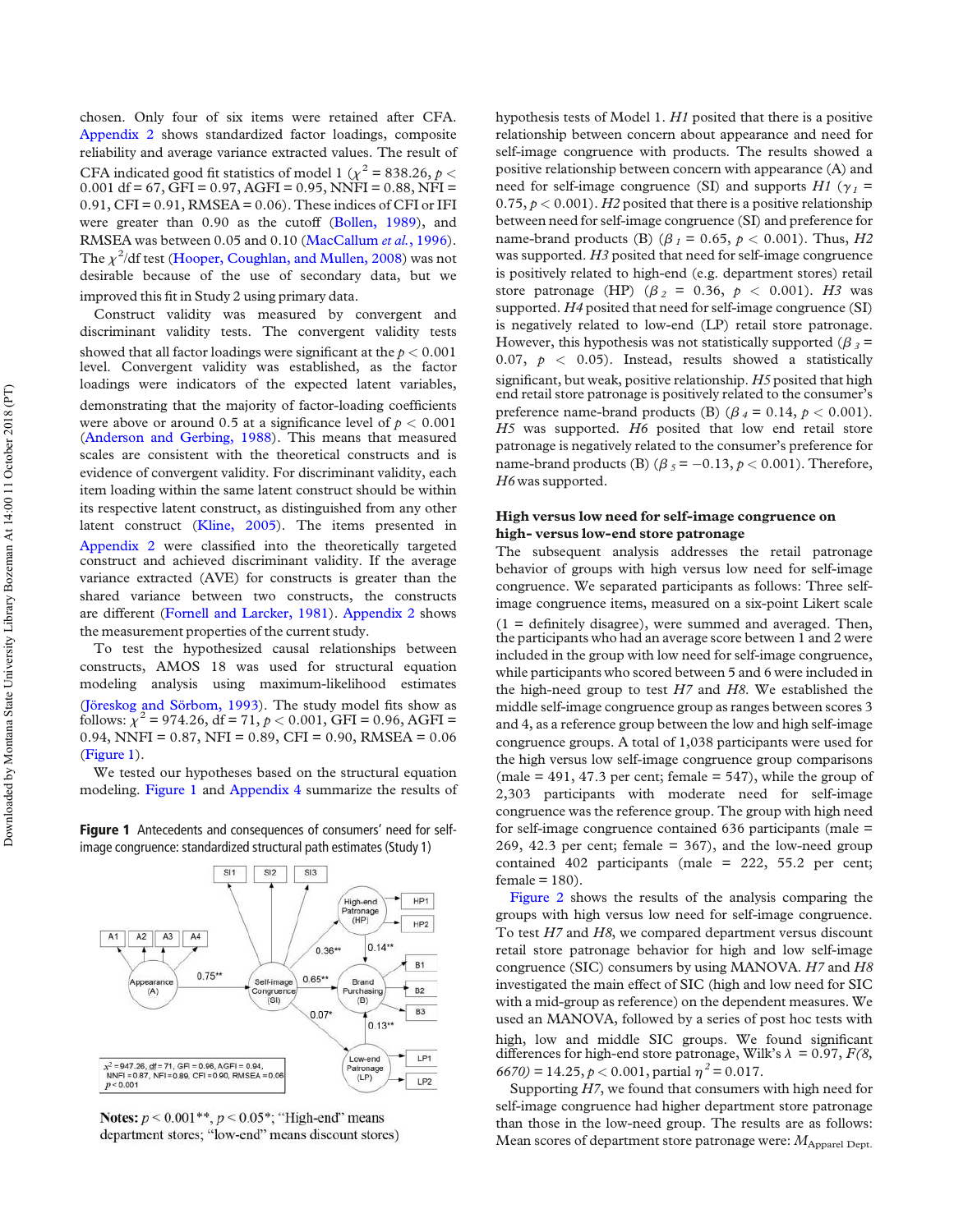chosen. Only four of six items were retained after CFA. [Appendix](#page-13-0) 2 shows standardized factor loadings, composite reliability and average variance extracted values. The result of CFA indicated good fit statistics of model 1 ( $\chi^2$  = 838.26,  $p$  < 0.001 df = 67, GFI = 0.97, AGFI = 0.95, NNFI = 0.88, NFI =  $0.91$ , CFI =  $0.91$ , RMSEA =  $0.06$ ). These indices of CFI or IFI were greater than 0.90 as the cutoff ([Bollen,](#page-10-3) 1989), and RMSEA was between 0.05 and 0.10 ([MacCallum](#page-11-11) et al., 1996). The  $\chi^2$ /df test (Hooper, [Coughlan,](#page-11-12) and Mullen, 2008) was not desirable because of the use of secondary data, but we improved this fit in Study 2 using primary data.

Construct validity was measured by convergent and discriminant validity tests. The convergent validity tests showed that all factor loadings were significant at the  $p < 0.001$ level. Convergent validity was established, as the factor loadings were indicators of the expected latent variables, demonstrating that the majority of factor-loading coefficients were above or around 0.5 at a significance level of  $p < 0.001$ [\(Anderson](#page-10-4) and Gerbing, 1988). This means that measured scales are consistent with the theoretical constructs and is evidence of convergent validity. For discriminant validity, each item loading within the same latent construct should be within its respective latent construct, as distinguished from any other latent construct [\(Kline,](#page-11-13) 2005). The items presented in [Appendix](#page-13-0) 2 were classified into the theoretically targeted construct and achieved discriminant validity. If the average variance extracted (AVE) for constructs is greater than the shared variance between two constructs, the constructs are different (Fornell and [Larcker,](#page-10-5) 1981). [Appendix](#page-13-0) 2 shows the measurement properties of the current study.

To test the hypothesized causal relationships between constructs, AMOS 18 was used for structural equation modeling analysis using maximum-likelihood estimates (Jöreskog and [Sörbom,](#page-11-14) 1993). The study model fits show as follows:  $\chi^2$  = 974.26, df = 71, p < 0.001, GFI = 0.96, AGFI =  $0.94$ , NNFI =  $0.87$ , NFI =  $0.89$ , CFI =  $0.90$ , RMSEA =  $0.06$ [\(Figure](#page-4-0) 1).

We tested our hypotheses based on the structural equation modeling. [Figure](#page-4-0) 1 and [Appendix](#page-15-0) 4 summarize the results of

<span id="page-4-0"></span>Figure 1 Antecedents and consequences of consumers' need for selfimage congruence: standardized structural path estimates (Study 1)

 $SI2$ 

 $SI1$ 

 $SI3$ 



**Notes:**  $p < 0.001**$ ,  $p < 0.05*$ ; "High-end" means department stores; "low-end" means discount stores)

hypothesis tests of Model 1. H1 posited that there is a positive relationship between concern about appearance and need for self-image congruence with products. The results showed a positive relationship between concern with appearance (A) and need for self-image congruence (SI) and supports  $H1$  ( $\gamma_1$  = 0.75,  $p < 0.001$ ). H2 posited that there is a positive relationship between need for self-image congruence (SI) and preference for name-brand products (B) ( $\beta_1 = 0.65$ ,  $p < 0.001$ ). Thus, H2 was supported. H3 posited that need for self-image congruence is positively related to high-end (e.g. department stores) retail store patronage (HP) ( $\beta$ <sub>2</sub> = 0.36,  $p < 0.001$ ). H3 was supported. H4 posited that need for self-image congruence (SI) is negatively related to low-end (LP) retail store patronage. However, this hypothesis was not statistically supported ( $\beta_3$  = 0.07,  $p \leq 0.05$ ). Instead, results showed a statistically significant, but weak, positive relationship. H5 posited that high end retail store patronage is positively related to the consumer's preference name-brand products (B) ( $\beta$   $_4$  = 0.14,  $p$  < 0.001). H5 was supported. H6 posited that low end retail store patronage is negatively related to the consumer's preference for name-brand products (B) ( $\beta$   $_5$  = -0.13,  $p$  < 0.001). Therefore, H6 was supported.

#### High versus low need for self-image congruence on high- versus low-end store patronage

The subsequent analysis addresses the retail patronage behavior of groups with high versus low need for self-image congruence. We separated participants as follows: Three selfimage congruence items, measured on a six-point Likert scale  $(1 =$  definitely disagree), were summed and averaged. Then, the participants who had an average score between 1 and 2 were included in the group with low need for self-image congruence, while participants who scored between 5 and 6 were included in the high-need group to test  $H7$  and  $H8$ . We established the middle self-image congruence group as ranges between scores 3 and 4, as a reference group between the low and high self-image congruence groups. A total of 1,038 participants were used for the high versus low self-image congruence group comparisons (male =  $491, 47.3$  per cent; female =  $547$ ), while the group of 2,303 participants with moderate need for self-image congruence was the reference group. The group with high need for self-image congruence contained 636 participants (male =  $269, 42.3$  per cent; female =  $367$ ), and the low-need group contained  $402$  participants (male = 222, 55.2 per cent;  $female = 180$ ).

[Figure](#page-5-0) 2 shows the results of the analysis comparing the groups with high versus low need for self-image congruence. To test  $H<sub>7</sub>$  and  $H<sub>8</sub>$ , we compared department versus discount retail store patronage behavior for high and low self-image congruence (SIC) consumers by using MANOVA. H7 and H8 investigated the main effect of SIC (high and low need for SIC with a mid-group as reference) on the dependent measures. We used an MANOVA, followed by a series of post hoc tests with high, low and middle SIC groups. We found significant differences for high-end store patronage, Wilk's  $\lambda = 0.97, F(8,$  $6670$  = 14.25,  $p < 0.001$ , partial  $\eta^2 = 0.017$ .

Supporting  $H<sub>7</sub>$ , we found that consumers with high need for self-image congruence had higher department store patronage than those in the low-need group. The results are as follows: Mean scores of department store patronage were:  $M_{\text{Apparel Dept.}}$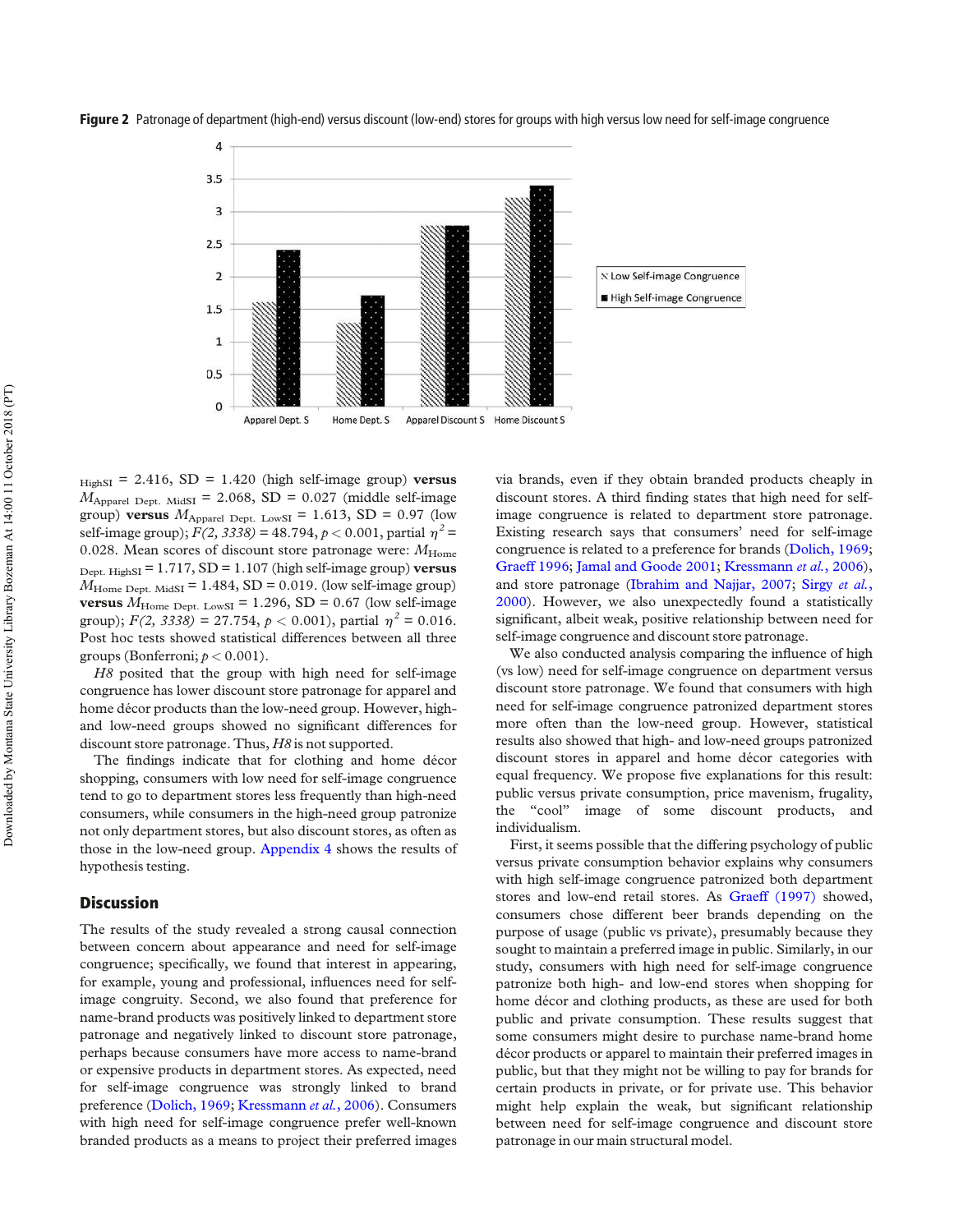<span id="page-5-0"></span>

 $H_{\text{HighSI}} = 2.416$ , SD = 1.420 (high self-image group) versus  $M_{\text{Apparel Dept. MidSI}} = 2.068$ , SD = 0.027 (middle self-image group) versus  $M_{\text{Apparel Dept. LowSI}} = 1.613$ , SD = 0.97 (low self-image group);  $F(2, 3338) = 48.794$ ,  $p < 0.001$ , partial  $\eta^2 =$ 0.028. Mean scores of discount store patronage were:  $M_{\text{Home}}$  $_{\text{Depth. High SI}} = 1.717$ , SD = 1.107 (high self-image group) versus  $M_{\text{Home Dept. MidsI}} = 1.484$ , SD = 0.019. (low self-image group) versus  $M_{\text{Home Dept. LowSI}} = 1.296$ , SD = 0.67 (low self-image group);  $F(2, 3338) = 27.754$ ,  $p < 0.001$ ), partial  $\eta^2 = 0.016$ . Post hoc tests showed statistical differences between all three groups (Bonferroni;  $p < 0.001$ ).

H8 posited that the group with high need for self-image congruence has lower discount store patronage for apparel and home décor products than the low-need group. However, highand low-need groups showed no significant differences for discount store patronage. Thus,  $H8$  is not supported.

The findings indicate that for clothing and home décor shopping, consumers with low need for self-image congruence tend to go to department stores less frequently than high-need consumers, while consumers in the high-need group patronize not only department stores, but also discount stores, as often as those in the low-need group. [Appendix 4](#page-15-0) shows the results of hypothesis testing.

#### **Discussion**

The results of the study revealed a strong causal connection between concern about appearance and need for self-image congruence; specifically, we found that interest in appearing, for example, young and professional, influences need for selfimage congruity. Second, we also found that preference for name-brand products was positively linked to department store patronage and negatively linked to discount store patronage, perhaps because consumers have more access to name-brand or expensive products in department stores. As expected, need for self-image congruence was strongly linked to brand preference ([Dolich, 1969](#page-10-1); [Kressmann](#page-11-8) et al., 2006). Consumers with high need for self-image congruence prefer well-known branded products as a means to project their preferred images via brands, even if they obtain branded products cheaply in discount stores. A third finding states that high need for selfimage congruence is related to department store patronage. Existing research says that consumers' need for self-image congruence is related to a preference for brands ([Dolich, 1969](#page-10-1); [Graeff 1996;](#page-10-0) [Jamal and Goode 2001](#page-11-2); [Kressmann](#page-11-8) et al., 2006), and store patronage [\(Ibrahim and Najjar, 2007](#page-11-15); Sirgy [et al.](#page-11-4), [2000\)](#page-11-4). However, we also unexpectedly found a statistically significant, albeit weak, positive relationship between need for self-image congruence and discount store patronage.

We also conducted analysis comparing the influence of high (vs low) need for self-image congruence on department versus discount store patronage. We found that consumers with high need for self-image congruence patronized department stores more often than the low-need group. However, statistical results also showed that high- and low-need groups patronized discount stores in apparel and home décor categories with equal frequency. We propose five explanations for this result: public versus private consumption, price mavenism, frugality, the "cool" image of some discount products, and individualism.

First, it seems possible that the differing psychology of public versus private consumption behavior explains why consumers with high self-image congruence patronized both department stores and low-end retail stores. As [Graeff \(1997\)](#page-11-0) showed, consumers chose different beer brands depending on the purpose of usage (public vs private), presumably because they sought to maintain a preferred image in public. Similarly, in our study, consumers with high need for self-image congruence patronize both high- and low-end stores when shopping for home décor and clothing products, as these are used for both public and private consumption. These results suggest that some consumers might desire to purchase name-brand home décor products or apparel to maintain their preferred images in public, but that they might not be willing to pay for brands for certain products in private, or for private use. This behavior might help explain the weak, but significant relationship between need for self-image congruence and discount store patronage in our main structural model.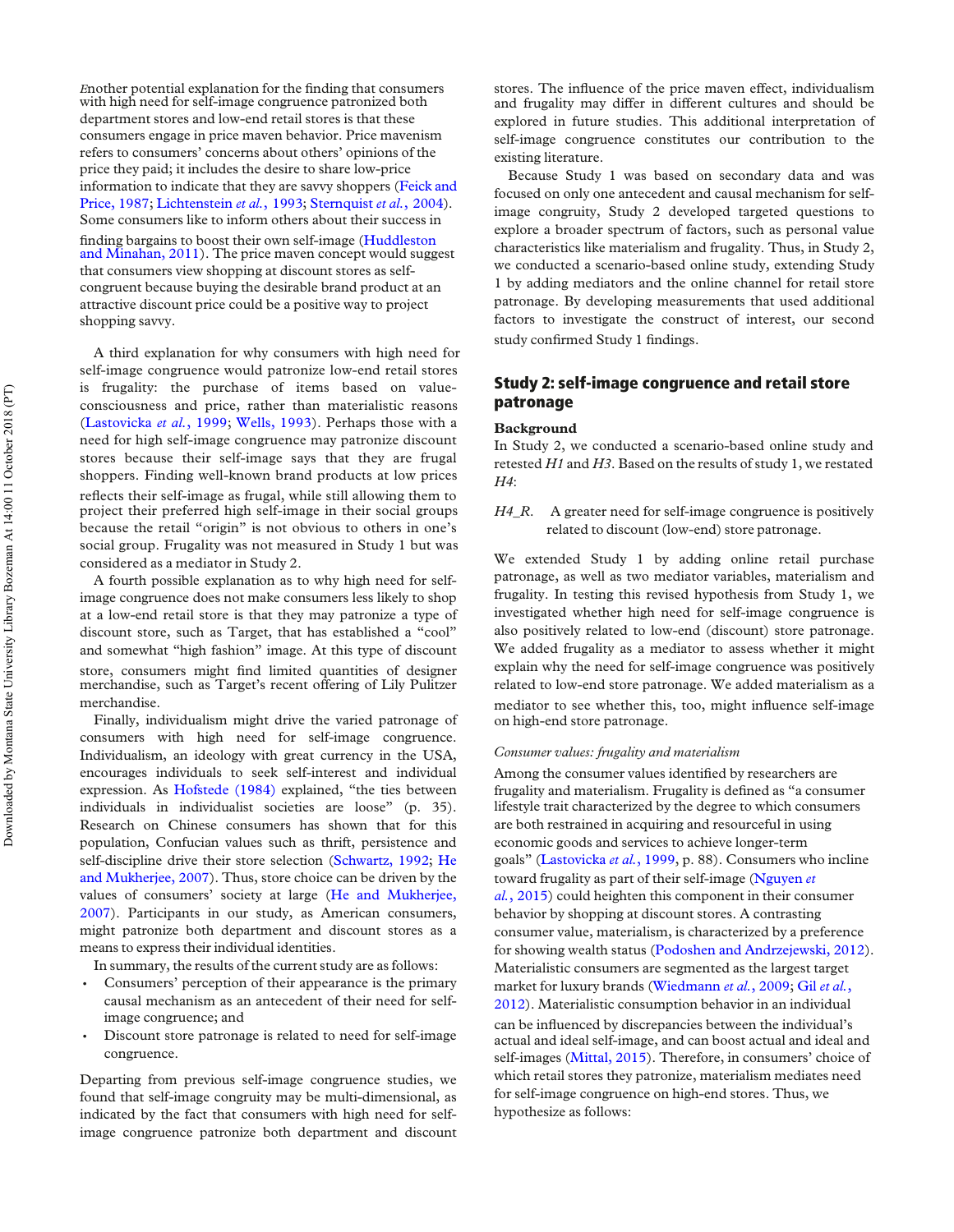<sup>E</sup>nother potential explanation for the finding that consumers with high need for self-image congruence patronized both department stores and low-end retail stores is that these consumers engage in price maven behavior. Price mavenism refers to consumers' concerns about others' opinions of the price they paid; it includes the desire to share low-price information to indicate that they are savvy shoppers [\(Feick](#page-10-6) and [Price,](#page-10-6) 1987; [Lichtenstein](#page-11-16) et al., 1993; [Sternquist](#page-11-17) et al., 2004). Some consumers like to inform others about their success in finding bargains to boost their own self-image [\(Huddleston](#page-11-18) and [Minahan,](#page-11-18) 2011). The price maven concept would suggest that consumers view shopping at discount stores as selfcongruent because buying the desirable brand product at an attractive discount price could be a positive way to project shopping savvy.

A third explanation for why consumers with high need for self-image congruence would patronize low-end retail stores is frugality: the purchase of items based on valueconsciousness and price, rather than materialistic reasons ([Lastovicka](#page-11-19) et al., 1999; [Wells,](#page-11-20) 1993). Perhaps those with a need for high self-image congruence may patronize discount stores because their self-image says that they are frugal shoppers. Finding well-known brand products at low prices reflects their self-image as frugal, while still allowing them to project their preferred high self-image in their social groups because the retail "origin" is not obvious to others in one's social group. Frugality was not measured in Study 1 but was considered as a mediator in Study 2.

A fourth possible explanation as to why high need for selfimage congruence does not make consumers less likely to shop at a low-end retail store is that they may patronize a type of discount store, such as Target, that has established a "cool" and somewhat "high fashion" image. At this type of discount store, consumers might find limited quantities of designer merchandise, such as Target's recent offering of Lily Pulitzer merchandise.

Finally, individualism might drive the varied patronage of consumers with high need for self-image congruence. Individualism, an ideology with great currency in the USA, encourages individuals to seek self-interest and individual expression. As [Hofstede](#page-11-21) (1984) explained, "the ties between individuals in individualist societies are loose" (p. 35). Research on Chinese consumers has shown that for this population, Confucian values such as thrift, persistence and self-discipline drive their store selection [\(Schwartz,](#page-11-22) 1992; [He](#page-11-23) and [Mukherjee,](#page-11-23) 2007). Thus, store choice can be driven by the values of consumers' society at large (He and [Mukherjee,](#page-11-23) [2007\)](#page-11-23). Participants in our study, as American consumers, might patronize both department and discount stores as a means to express their individual identities.

In summary, the results of the current study are as follows:

- Consumers' perception of their appearance is the primary causal mechanism as an antecedent of their need for selfimage congruence; and
- Discount store patronage is related to need for self-image congruence.

Departing from previous self-image congruence studies, we found that self-image congruity may be multi-dimensional, as indicated by the fact that consumers with high need for selfimage congruence patronize both department and discount

stores. The influence of the price maven effect, individualism and frugality may differ in different cultures and should be explored in future studies. This additional interpretation of self-image congruence constitutes our contribution to the existing literature.

Because Study 1 was based on secondary data and was focused on only one antecedent and causal mechanism for selfimage congruity, Study 2 developed targeted questions to explore a broader spectrum of factors, such as personal value characteristics like materialism and frugality. Thus, in Study 2, we conducted a scenario-based online study, extending Study 1 by adding mediators and the online channel for retail store patronage. By developing measurements that used additional factors to investigate the construct of interest, our second study confirmed Study 1 findings.

#### Study 2: self-image congruence and retail store patronage

#### Background

In Study 2, we conducted a scenario-based online study and retested H1 and H3. Based on the results of study 1, we restated H4:

H4\_R. A greater need for self-image congruence is positively related to discount (low-end) store patronage.

We extended Study 1 by adding online retail purchase patronage, as well as two mediator variables, materialism and frugality. In testing this revised hypothesis from Study 1, we investigated whether high need for self-image congruence is also positively related to low-end (discount) store patronage. We added frugality as a mediator to assess whether it might explain why the need for self-image congruence was positively related to low-end store patronage. We added materialism as a mediator to see whether this, too, might influence self-image on high-end store patronage.

#### Consumer values: frugality and materialism

Among the consumer values identified by researchers are frugality and materialism. Frugality is defined as "a consumer lifestyle trait characterized by the degree to which consumers are both restrained in acquiring and resourceful in using economic goods and services to achieve longer-term goals" ([Lastovicka](#page-11-19) et al., 1999, p. 88). Consumers who incline toward frugality as part of their self-image (Nguyen et al., 2015) could heighten this [component](#page-11-24) in their consumer behavior by shopping at discount stores. A contrasting consumer value, materialism, is characterized by a preference for showing wealth status (Podoshen and [Andrzejewski,](#page-11-25) 2012). Materialistic consumers are segmented as the largest target market for luxury brands [\(Wiedmann](#page-11-26) et al., 2009; [Gil](#page-10-7) et al., [2012\)](#page-10-7). Materialistic consumption behavior in an individual can be influenced by discrepancies between the individual's actual and ideal self-image, and can boost actual and ideal and self-images ([Mittal,](#page-11-27) 2015). Therefore, in consumers' choice of which retail stores they patronize, materialism mediates need for self-image congruence on high-end stores. Thus, we hypothesize as follows: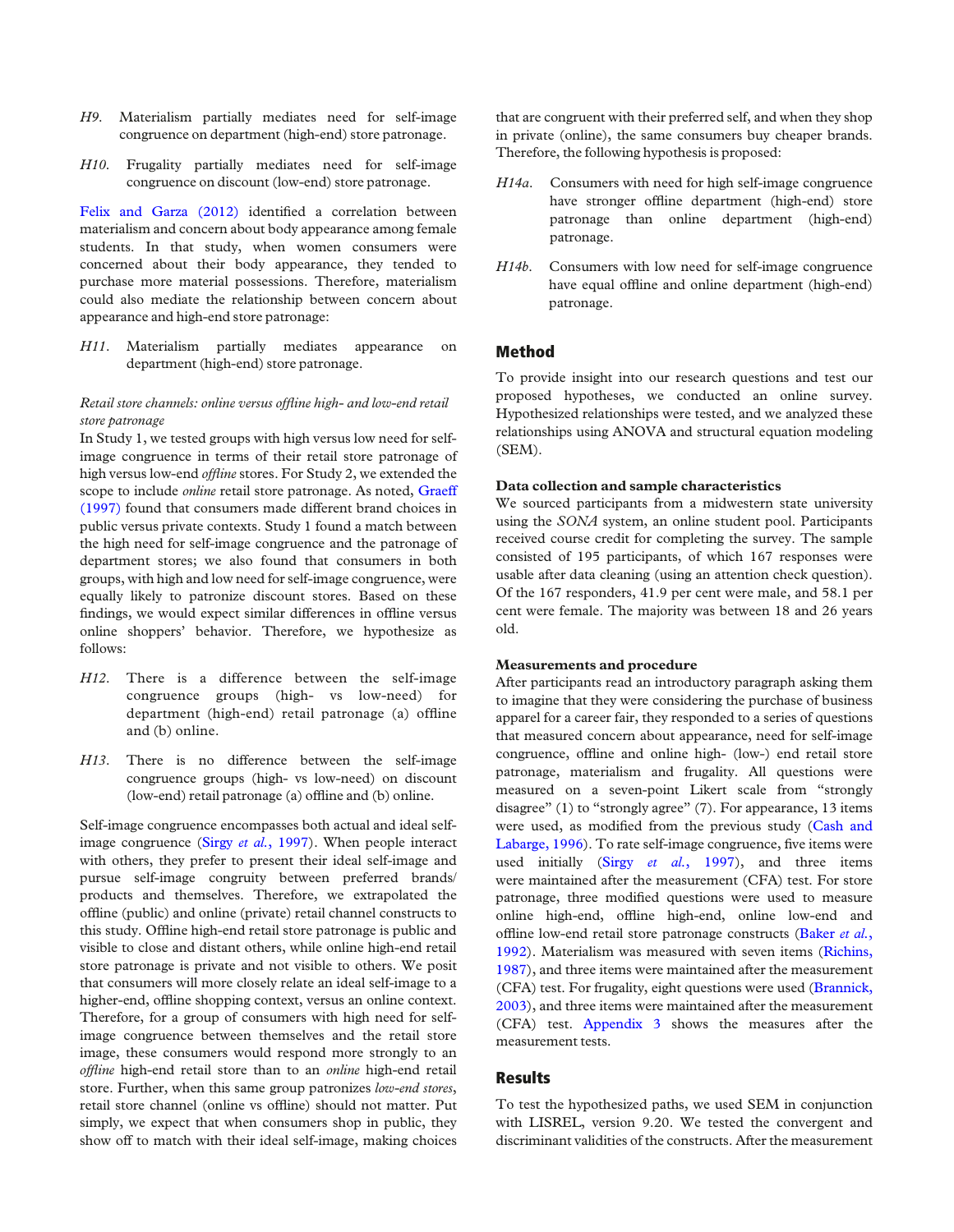- H9. Materialism partially mediates need for self-image congruence on department (high-end) store patronage.
- H10. Frugality partially mediates need for self-image congruence on discount (low-end) store patronage.

[Felix and Garza \(2012\)](#page-10-8) identified a correlation between materialism and concern about body appearance among female students. In that study, when women consumers were concerned about their body appearance, they tended to purchase more material possessions. Therefore, materialism could also mediate the relationship between concern about appearance and high-end store patronage:

H11. Materialism partially mediates appearance on department (high-end) store patronage.

#### Retail store channels: online versus offline high- and low-end retail store patronage

In Study 1, we tested groups with high versus low need for selfimage congruence in terms of their retail store patronage of high versus low-end offline stores. For Study 2, we extended the scope to include *online* retail store patronage. As noted, [Graeff](#page-11-0) [\(1997\)](#page-11-0) found that consumers made different brand choices in public versus private contexts. Study 1 found a match between the high need for self-image congruence and the patronage of department stores; we also found that consumers in both groups, with high and low need for self-image congruence, were equally likely to patronize discount stores. Based on these findings, we would expect similar differences in offline versus online shoppers' behavior. Therefore, we hypothesize as follows:

- H12. There is a difference between the self-image congruence groups (high- vs low-need) for department (high-end) retail patronage (a) offline and (b) online.
- H13. There is no difference between the self-image congruence groups (high- vs low-need) on discount (low-end) retail patronage (a) offline and (b) online.

Self-image congruence encompasses both actual and ideal self-image congruence (Sirgy et al.[, 1997](#page-11-3)). When people interact with others, they prefer to present their ideal self-image and pursue self-image congruity between preferred brands/ products and themselves. Therefore, we extrapolated the offline (public) and online (private) retail channel constructs to this study. Offline high-end retail store patronage is public and visible to close and distant others, while online high-end retail store patronage is private and not visible to others. We posit that consumers will more closely relate an ideal self-image to a higher-end, offline shopping context, versus an online context. Therefore, for a group of consumers with high need for selfimage congruence between themselves and the retail store image, these consumers would respond more strongly to an offline high-end retail store than to an *online* high-end retail store. Further, when this same group patronizes low-end stores, retail store channel (online vs offline) should not matter. Put simply, we expect that when consumers shop in public, they show off to match with their ideal self-image, making choices

that are congruent with their preferred self, and when they shop in private (online), the same consumers buy cheaper brands. Therefore, the following hypothesis is proposed:

- H14a. Consumers with need for high self-image congruence have stronger offline department (high-end) store patronage than online department (high-end) patronage.
- H14b. Consumers with low need for self-image congruence have equal offline and online department (high-end) patronage.

#### Method

To provide insight into our research questions and test our proposed hypotheses, we conducted an online survey. Hypothesized relationships were tested, and we analyzed these relationships using ANOVA and structural equation modeling (SEM).

#### Data collection and sample characteristics

We sourced participants from a midwestern state university using the SONA system, an online student pool. Participants received course credit for completing the survey. The sample consisted of 195 participants, of which 167 responses were usable after data cleaning (using an attention check question). Of the 167 responders, 41.9 per cent were male, and 58.1 per cent were female. The majority was between 18 and 26 years old.

#### Measurements and procedure

After participants read an introductory paragraph asking them to imagine that they were considering the purchase of business apparel for a career fair, they responded to a series of questions that measured concern about appearance, need for self-image congruence, offline and online high- (low-) end retail store patronage, materialism and frugality. All questions were measured on a seven-point Likert scale from "strongly disagree" (1) to "strongly agree" (7). For appearance, 13 items were used, as modified from the previous study [\(Cash and](#page-10-9) [Labarge, 1996\)](#page-10-9). To rate self-image congruence, five items were used initially  $(Sirgy et al., 1997)$  $(Sirgy et al., 1997)$ , and three items were maintained after the measurement (CFA) test. For store patronage, three modified questions were used to measure online high-end, offline high-end, online low-end and offline low-end retail store patronage constructs [\(Baker](#page-10-10) et al., [1992\)](#page-10-10). Materialism was measured with seven items [\(Richins,](#page-11-28) [1987\)](#page-11-28), and three items were maintained after the measurement (CFA) test. For frugality, eight questions were used [\(Brannick,](#page-10-11) [2003\)](#page-10-11), and three items were maintained after the measurement (CFA) test. [Appendix 3](#page-14-0) shows the measures after the measurement tests.

#### **Results**

To test the hypothesized paths, we used SEM in conjunction with LISREL, version 9.20. We tested the convergent and discriminant validities of the constructs. After the measurement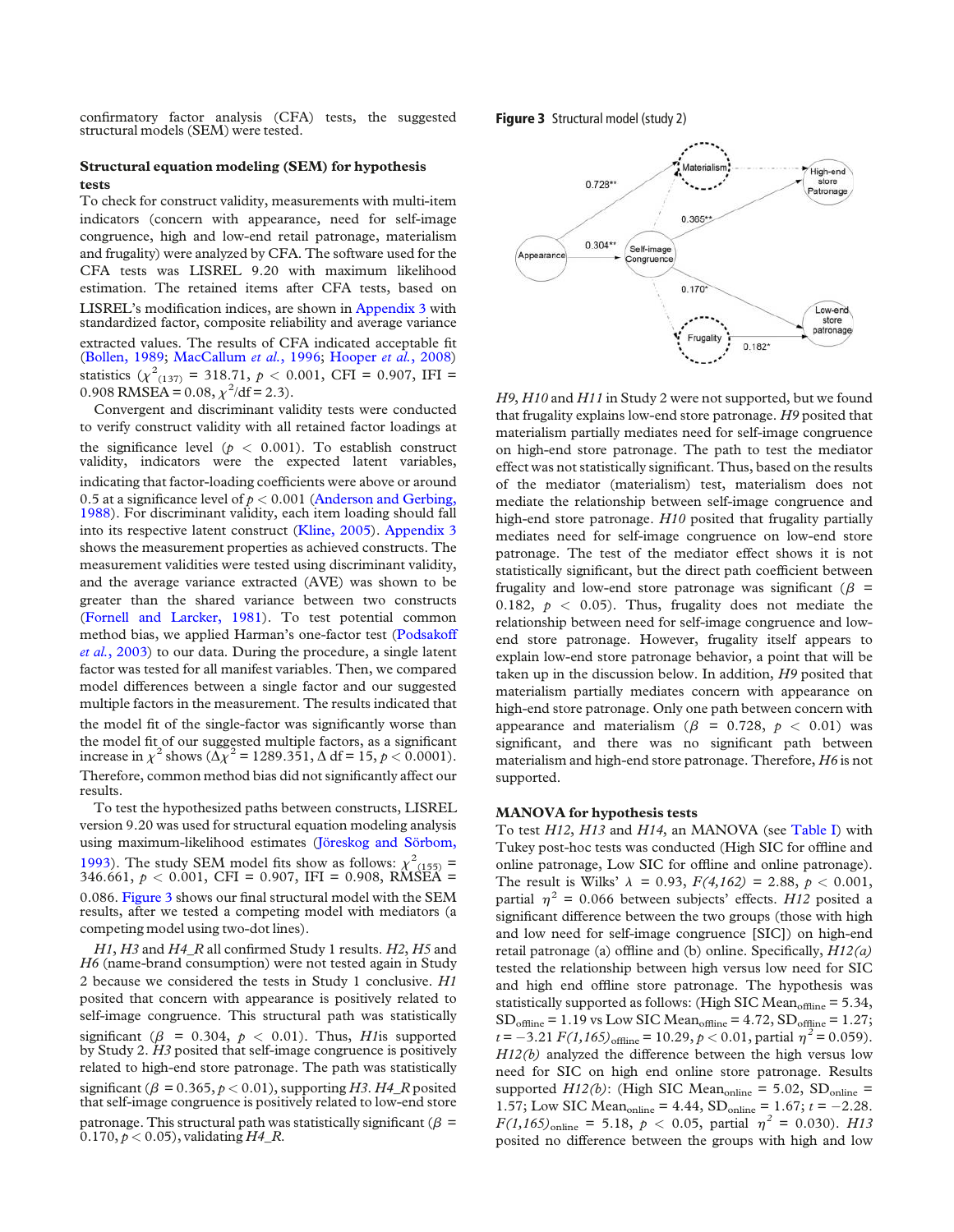confirmatory factor analysis  $(CFA)$  tests, the suggested **Figure 3** Structural model (study 2) structural models (SEM) were tested.

#### Structural equation modeling (SEM) for hypothesis tests

To check for construct validity, measurements with multi-item indicators (concern with appearance, need for self-image congruence, high and low-end retail patronage, materialism and frugality) were analyzed by CFA. The software used for the CFA tests was LISREL 9.20 with maximum likelihood estimation. The retained items after CFA tests, based on LISREL's modification indices, are shown in [Appendix](#page-14-0) 3 with standardized factor, composite reliability and average variance extracted values. The results of CFA indicated acceptable fit [\(Bollen,](#page-10-3) 1989; [MacCallum](#page-11-11) et al., 1996; [Hooper](#page-11-12) et al., 2008) statistics  $(\chi^2_{(137)} = 318.71, p < 0.001, \text{ CFI} = 0.907, \text{ IFI} =$ 0.908 RMSEA =  $0.08$ ,  $\chi^2$ /df = 2.3).

Convergent and discriminant validity tests were conducted to verify construct validity with all retained factor loadings at the significance level ( $p < 0.001$ ). To establish construct validity, indicators were the expected latent variables, indicating that factor-loading coefficients were above or around 0.5 at a significance level of  $p < 0.001$  [\(Anderson](#page-10-4) and Gerbing, [1988\)](#page-10-4). For discriminant validity, each item loading should fall into its respective latent construct [\(Kline,](#page-11-13) 2005). [Appendix](#page-14-0) 3 shows the measurement properties as achieved constructs. The measurement validities were tested using discriminant validity, and the average variance extracted (AVE) was shown to be greater than the shared variance between two constructs (Fornell and [Larcker,](#page-10-5) 1981). To test potential common method bias, we applied Harman's one-factor test ([Podsakoff](#page-11-29) et al., [2003](#page-11-29)) to our data. During the procedure, a single latent factor was tested for all manifest variables. Then, we compared model differences between a single factor and our suggested multiple factors in the measurement. The results indicated that the model fit of the single-factor was significantly worse than the model fit of our suggested multiple factors, as a significant increase in  $\chi^2$  shows ( $\Delta \chi^2 = 1289.351$ ,  $\Delta$  df = 15,  $p < 0.0001$ ). Therefore, common method bias did not significantly affect our results.

To test the hypothesized paths between constructs, LISREL version 9.20 was used for structural equation modeling analysis using maximum-likelihood estimates (Jöreskog and [Sörbom,](#page-11-14) [1993\)](#page-11-14). The study SEM model fits show as follows:  $\chi^2$ <sub>(155)</sub> = 346.661,  $p < 0.001$ , CFI = 0.907, IFI = 0.908, RMSEA = 0.086. [Figure](#page-8-0) 3 shows our final structural model with the SEM results, after we tested a competing model with mediators (a competing model using two-dot lines).

H1, H3 and H4\_R all confirmed Study 1 results. H2, H5 and H6 (name-brand consumption) were not tested again in Study 2 because we considered the tests in Study 1 conclusive. H1 posited that concern with appearance is positively related to self-image congruence. This structural path was statistically significant ( $\beta$  = 0.304,  $p < 0.01$ ). Thus, *H1* is supported by Study 2. H3 posited that self-image congruence is positively related to high-end store patronage. The path was statistically significant ( $\beta = 0.365$ ,  $p < 0.01$ ), supporting H3. H4 R posited that self-image congruence is positively related to low-end store patronage. This structural path was statistically significant ( $\beta$  = 0.170,  $p < 0.05$ ), validating *H4* R.

<span id="page-8-0"></span>

H9, H10 and H11 in Study 2 were not supported, but we found that frugality explains low-end store patronage. H9 posited that materialism partially mediates need for self-image congruence on high-end store patronage. The path to test the mediator effect was not statistically significant. Thus, based on the results of the mediator (materialism) test, materialism does not mediate the relationship between self-image congruence and high-end store patronage. H10 posited that frugality partially mediates need for self-image congruence on low-end store patronage. The test of the mediator effect shows it is not statistically significant, but the direct path coefficient between frugality and low-end store patronage was significant ( $\beta$  = 0.182,  $p < 0.05$ ). Thus, frugality does not mediate the relationship between need for self-image congruence and lowend store patronage. However, frugality itself appears to explain low-end store patronage behavior, a point that will be taken up in the discussion below. In addition, H9 posited that materialism partially mediates concern with appearance on high-end store patronage. Only one path between concern with appearance and materialism ( $\beta$  = 0.728,  $p$  < 0.01) was significant, and there was no significant path between materialism and high-end store patronage. Therefore, H6 is not supported.

#### MANOVA for hypothesis tests

To test H12, H13 and H14, an MANOVA (see [Table I\)](#page-9-0) with Tukey post-hoc tests was conducted (High SIC for offline and online patronage, Low SIC for offline and online patronage). The result is Wilks'  $\lambda = 0.93$ ,  $F(4,162) = 2.88$ ,  $p < 0.001$ , partial  $\eta^2$  = 0.066 between subjects' effects. H12 posited a significant difference between the two groups (those with high and low need for self-image congruence [SIC]) on high-end retail patronage (a) offline and (b) online. Specifically,  $H12(a)$ tested the relationship between high versus low need for SIC and high end offline store patronage. The hypothesis was statistically supported as follows: (High SIC Mean<sub>offline</sub>  $= 5.34$ ,  $SD<sub>offline</sub> = 1.19$  vs Low SIC Mean<sub>offline</sub> = 4.72,  $SD<sub>offline</sub> = 1.27$ ;  $t = -3.21 F(1, 165)_{\text{offline}} = 10.29, p < 0.01, \text{partial } \eta^2 = 0.059$ . H12(b) analyzed the difference between the high versus low need for SIC on high end online store patronage. Results supported  $H12(b)$ : (High SIC Mean<sub>online</sub> = 5.02, SD<sub>online</sub> = 1.57; Low SIC Mean<sub>online</sub> = 4.44, SD<sub>online</sub> = 1.67;  $t = -2.28$ .  $F(1,165)_{\text{online}} = 5.18, p < 0.05, \text{ partial } \eta^2 = 0.030$ . H13 posited no difference between the groups with high and low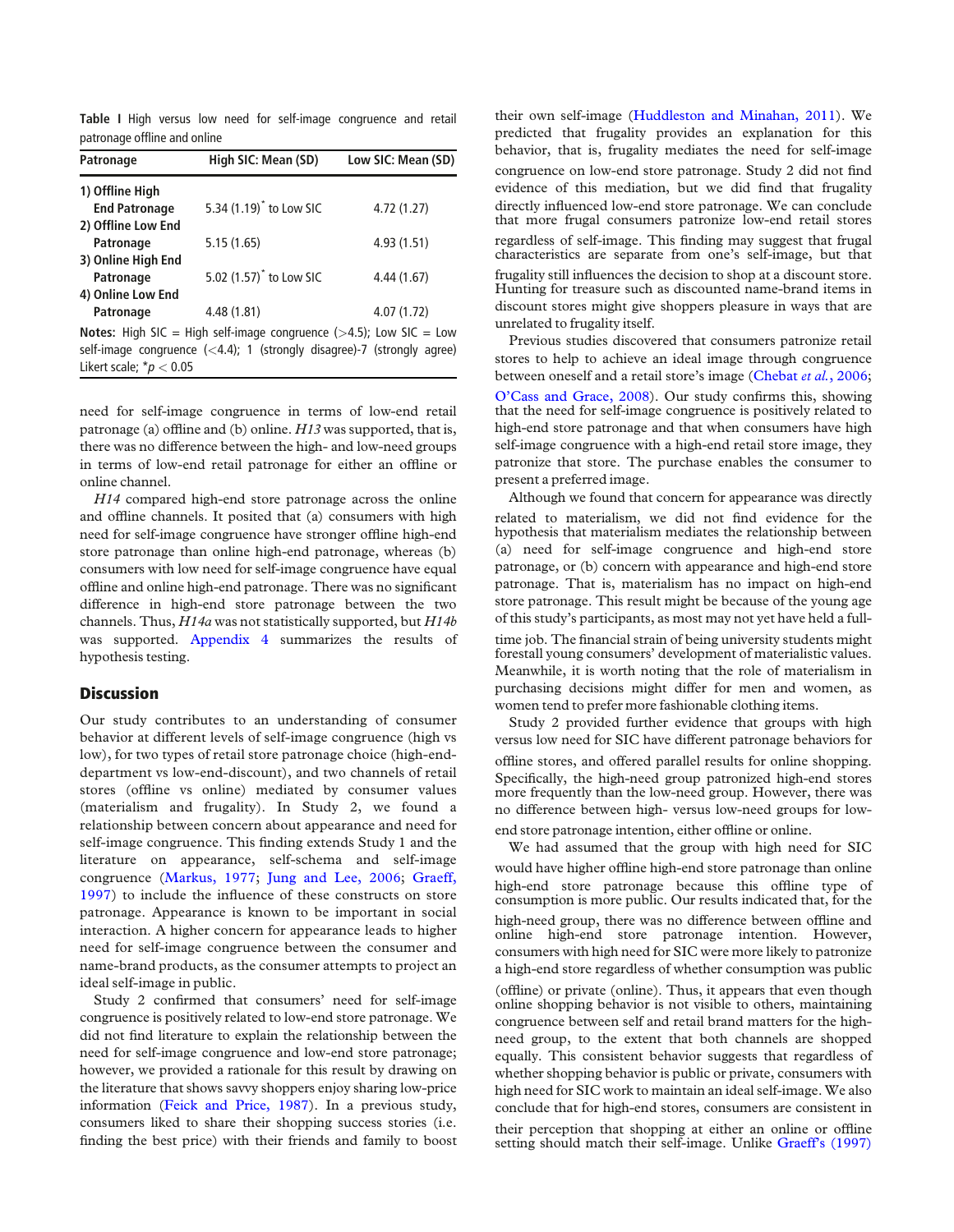<span id="page-9-0"></span>Table I High versus low need for self-image congruence and retail patronage offline and online

| Patronage            | High SIC: Mean (SD)                                                                                                                                             | Low SIC: Mean (SD) |
|----------------------|-----------------------------------------------------------------------------------------------------------------------------------------------------------------|--------------------|
| 1) Offline High      |                                                                                                                                                                 |                    |
| <b>End Patronage</b> | 5.34 (1.19) <sup>*</sup> to Low SIC                                                                                                                             | 4.72(1.27)         |
| 2) Offline Low End   |                                                                                                                                                                 |                    |
| <b>Patronage</b>     | 5.15(1.65)                                                                                                                                                      | 4.93(1.51)         |
| 3) Online High End   |                                                                                                                                                                 |                    |
| Patronage            | 5.02 (1.57) <sup>*</sup> to Low SIC                                                                                                                             | 4.44(1.67)         |
| 4) Online Low End    |                                                                                                                                                                 |                    |
| Patronage            | 4.48 (1.81)                                                                                                                                                     | 4.07(1.72)         |
|                      | <b>Notes:</b> High SIC = High self-image congruence $(>4.5)$ ; Low SIC = Low<br>self-image congruence $\left($ < 4.4); 1 (strongly disagree)-7 (strongly agree) |                    |

Likert scale;  $p < 0.05$ 

need for self-image congruence in terms of low-end retail patronage (a) offline and (b) online. H13 was supported, that is, there was no difference between the high- and low-need groups in terms of low-end retail patronage for either an offline or online channel.

H14 compared high-end store patronage across the online and offline channels. It posited that (a) consumers with high need for self-image congruence have stronger offline high-end store patronage than online high-end patronage, whereas (b) consumers with low need for self-image congruence have equal offline and online high-end patronage. There was no significant difference in high-end store patronage between the two channels. Thus,  $H14a$  was not statistically supported, but  $H14b$ was supported. [Appendix 4](#page-15-0) summarizes the results of hypothesis testing.

#### **Discussion**

Our study contributes to an understanding of consumer behavior at different levels of self-image congruence (high vs low), for two types of retail store patronage choice (high-enddepartment vs low-end-discount), and two channels of retail stores (offline vs online) mediated by consumer values (materialism and frugality). In Study 2, we found a relationship between concern about appearance and need for self-image congruence. This finding extends Study 1 and the literature on appearance, self-schema and self-image congruence [\(Markus, 1977;](#page-11-10) [Jung and Lee, 2006](#page-11-9); [Graeff,](#page-11-0) [1997](#page-11-0)) to include the influence of these constructs on store patronage. Appearance is known to be important in social interaction. A higher concern for appearance leads to higher need for self-image congruence between the consumer and name-brand products, as the consumer attempts to project an ideal self-image in public.

Study 2 confirmed that consumers' need for self-image congruence is positively related to low-end store patronage. We did not find literature to explain the relationship between the need for self-image congruence and low-end store patronage; however, we provided a rationale for this result by drawing on the literature that shows savvy shoppers enjoy sharing low-price information [\(Feick and Price, 1987](#page-10-6)). In a previous study, consumers liked to share their shopping success stories (i.e. finding the best price) with their friends and family to boost their own self-image ([Huddleston](#page-11-18) and Minahan, 2011). We predicted that frugality provides an explanation for this behavior, that is, frugality mediates the need for self-image congruence on low-end store patronage. Study 2 did not find evidence of this mediation, but we did find that frugality directly influenced low-end store patronage. We can conclude that more frugal consumers patronize low-end retail stores

regardless of self-image. This finding may suggest that frugal characteristics are separate from one's self-image, but that

frugality still influences the decision to shop at a discount store. Hunting for treasure such as discounted name-brand items in discount stores might give shoppers pleasure in ways that are unrelated to frugality itself.

Previous studies discovered that consumers patronize retail stores to help to achieve an ideal image through congruence between oneself and a retail store's image ([Chebat](#page-10-2) et al., 2006;

O'Cass and [Grace,](#page-11-6) 2008). Our study confirms this, showing that the need for self-image congruence is positively related to high-end store patronage and that when consumers have high self-image congruence with a high-end retail store image, they patronize that store. The purchase enables the consumer to present a preferred image.

Although we found that concern for appearance was directly related to materialism, we did not find evidence for the hypothesis that materialism mediates the relationship between (a) need for self-image congruence and high-end store patronage, or (b) concern with appearance and high-end store patronage. That is, materialism has no impact on high-end store patronage. This result might be because of the young age of this study's participants, as most may not yet have held a fulltime job. The financial strain of being university students might forestall young consumers' development of materialistic values. Meanwhile, it is worth noting that the role of materialism in purchasing decisions might differ for men and women, as women tend to prefer more fashionable clothing items.

Study 2 provided further evidence that groups with high versus low need for SIC have different patronage behaviors for offline stores, and offered parallel results for online shopping. Specifically, the high-need group patronized high-end stores more frequently than the low-need group. However, there was no difference between high- versus low-need groups for lowend store patronage intention, either offline or online.

We had assumed that the group with high need for SIC would have higher offline high-end store patronage than online high-end store patronage because this offline type of consumption is more public. Our results indicated that, for the high-need group, there was no difference between offline and online high-end store patronage intention. However, consumers with high need for SIC were more likely to patronize a high-end store regardless of whether consumption was public (offline) or private (online). Thus, it appears that even though online shopping behavior is not visible to others, maintaining congruence between self and retail brand matters for the highneed group, to the extent that both channels are shopped equally. This consistent behavior suggests that regardless of whether shopping behavior is public or private, consumers with high need for SIC work to maintain an ideal self-image. We also conclude that for high-end stores, consumers are consistent in

their perception that shopping at either an online or offline setting should match their self-image. Unlike Graeff's [\(1997\)](#page-11-0)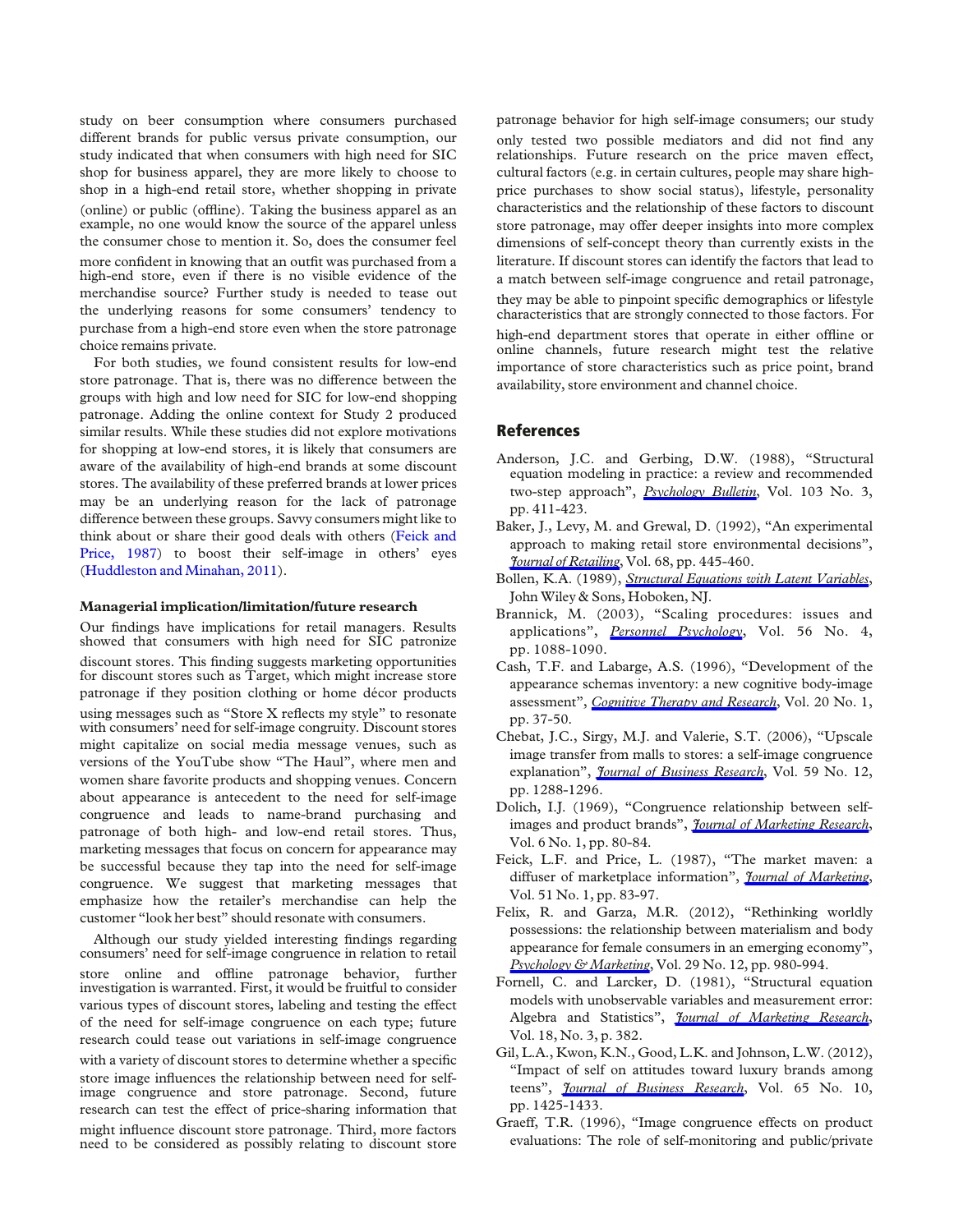study on beer consumption where consumers purchased different brands for public versus private consumption, our study indicated that when consumers with high need for SIC shop for business apparel, they are more likely to choose to shop in a high-end retail store, whether shopping in private (online) or public (offline). Taking the business apparel as an example, no one would know the source of the apparel unless the consumer chose to mention it. So, does the consumer feel

more confident in knowing that an outfit was purchased from a high-end store, even if there is no visible evidence of the merchandise source? Further study is needed to tease out the underlying reasons for some consumers' tendency to purchase from a high-end store even when the store patronage choice remains private.

For both studies, we found consistent results for low-end store patronage. That is, there was no difference between the groups with high and low need for SIC for low-end shopping patronage. Adding the online context for Study 2 produced similar results. While these studies did not explore motivations for shopping at low-end stores, it is likely that consumers are aware of the availability of high-end brands at some discount stores. The availability of these preferred brands at lower prices may be an underlying reason for the lack of patronage difference between these groups. Savvy consumers might like to think about or share their good deals with others ([Feick](#page-10-6) and [Price,](#page-10-6) 1987) to boost their self-image in others' eyes [\(Huddleston](#page-11-18) and Minahan, 2011).

#### Managerial implication/limitation/future research

Our findings have implications for retail managers. Results showed that consumers with high need for SIC patronize discount stores. This finding suggests marketing opportunities for discount stores such as Target, which might increase store patronage if they position clothing or home décor products using messages such as "Store X reflects my style" to resonate with consumers' need for self-image congruity. Discount stores might capitalize on social media message venues, such as versions of the YouTube show "The Haul", where men and women share favorite products and shopping venues. Concern about appearance is antecedent to the need for self-image congruence and leads to name-brand purchasing and patronage of both high- and low-end retail stores. Thus, marketing messages that focus on concern for appearance may be successful because they tap into the need for self-image congruence. We suggest that marketing messages that emphasize how the retailer's merchandise can help the customer "look her best" should resonate with consumers.

Although our study yielded interesting findings regarding consumers' need for self-image congruence in relation to retail store online and offline patronage behavior, further investigation is warranted. First, it would be fruitful to consider various types of discount stores, labeling and testing the effect of the need for self-image congruence on each type; future research could tease out variations in self-image congruence

with a variety of discount stores to determine whether a specific store image influences the relationship between need for selfimage congruence and store patronage. Second, future research can test the effect of price-sharing information that

might influence discount store patronage. Third, more factors need to be considered as possibly relating to discount store patronage behavior for high self-image consumers; our study only tested two possible mediators and did not find any relationships. Future research on the price maven effect, cultural factors (e.g. in certain cultures, people may share highprice purchases to show social status), lifestyle, personality characteristics and the relationship of these factors to discount store patronage, may offer deeper insights into more complex dimensions of self-concept theory than currently exists in the literature. If discount stores can identify the factors that lead to a match between self-image congruence and retail patronage, they may be able to pinpoint specific demographics or lifestyle characteristics that are strongly connected to those factors. For high-end department stores that operate in either offline or online channels, future research might test the relative importance of store characteristics such as price point, brand availability, store environment and channel choice.

#### References

- <span id="page-10-4"></span>equation modeling in practice: a review and recommended two-step approach", [Psychology Bulletin](https://www.emeraldinsight.com/action/showLinks?doi=10.1108%2FJCM-01-2016-1686&crossref=10.1037%2F0033-2909.103.3.411&isi=A1988N286100011&citationId=p_1), Vol. 103 No. 3, pp. 411-423. Anderson, J.C. and Gerbing, D.W. (1988), "Structural
- <span id="page-10-10"></span>Baker, J., Levy, M. and Grewal, D. (1992), "An experimental approach to making retail store environmental decisions", [Journal of Retailing](https://www.emeraldinsight.com/action/showLinks?doi=10.1108%2FJCM-01-2016-1686&isi=A1993KX35100005&citationId=p_2), Vol. 68, pp. 445-460.
- <span id="page-10-3"></span>Bollen, K.A. (1989), *[Structural Equations with Latent Variables](https://www.emeraldinsight.com/action/showLinks?doi=10.1108%2FJCM-01-2016-1686&crossref=10.1002%2F9781118619179&citationId=p_3)*, John Wiley & Sons, Hoboken, NJ.
- <span id="page-10-11"></span>Brannick, M. (2003), "Scaling procedures: issues and applications", [Personnel Psychology](https://www.emeraldinsight.com/action/showLinks?doi=10.1108%2FJCM-01-2016-1686&isi=000187442500024&citationId=p_4), Vol. 56 No. 4, pp. 1088-1090.
- <span id="page-10-9"></span>Cash, T.F. and Labarge, A.S. (1996), "Development of the appearance schemas inventory: a new cognitive body-image assessment", [Cognitive Therapy and Research](https://www.emeraldinsight.com/action/showLinks?doi=10.1108%2FJCM-01-2016-1686&crossref=10.1007%2FBF02229242&isi=A1996TZ89900003&citationId=p_5), Vol. 20 No. 1, pp. 37-50.
- <span id="page-10-2"></span>Chebat, J.C., Sirgy, M.J. and Valerie, S.T. (2006), "Upscale image transfer from malls to stores: a self-image congruence explanation", *[Journal of Business Research](https://www.emeraldinsight.com/action/showLinks?doi=10.1108%2FJCM-01-2016-1686&crossref=10.1016%2Fj.jbusres.2006.09.007&isi=000243082600012&citationId=p_6)*, Vol. 59 No. 12, pp. 1288-1296.
- <span id="page-10-1"></span>Dolich, I.J. (1969), "Congruence relationship between selfimages and product brands", *[Journal of Marketing Research](https://www.emeraldinsight.com/action/showLinks?doi=10.1108%2FJCM-01-2016-1686&crossref=10.2307%2F3150001&isi=A1969Y431200009&citationId=p_7)*, Vol. 6 No. 1, pp. 80-84.
- <span id="page-10-6"></span>Feick, L.F. and Price, L. (1987), "The market maven: a diffuser of marketplace information", *[Journal of Marketing](https://www.emeraldinsight.com/action/showLinks?doi=10.1108%2FJCM-01-2016-1686&crossref=10.2307%2F1251146&isi=A1987F858100007&citationId=p_8)*, Vol. 51 No. 1, pp. 83-97.
- <span id="page-10-8"></span>Felix, R. and Garza, M.R. (2012), "Rethinking worldly possessions: the relationship between materialism and body appearance for female consumers in an emerging economy", [Psychology & Marketing](https://www.emeraldinsight.com/action/showLinks?doi=10.1108%2FJCM-01-2016-1686&crossref=10.1002%2Fmar.20579&isi=000310978400006&citationId=p_9), Vol. 29 No. 12, pp. 980-994.
- <span id="page-10-5"></span>Fornell, C. and Larcker, D. (1981), "Structural equation models with unobservable variables and measurement error: Algebra and Statistics", *[Journal of Marketing Research](https://www.emeraldinsight.com/action/showLinks?doi=10.1108%2FJCM-01-2016-1686&crossref=10.2307%2F3150980&isi=A1981MF19500013&citationId=p_10)*, Vol. 18, No. 3, p. 382.
- <span id="page-10-7"></span>Gil, L.A., Kwon, K.N., Good, L.K. and Johnson, L.W. (2012), "Impact of self on attitudes toward luxury brands among teens", *[Journal of Business Research](https://www.emeraldinsight.com/action/showLinks?doi=10.1108%2FJCM-01-2016-1686&crossref=10.1016%2Fj.jbusres.2011.10.008&isi=000309022300005&citationId=p_11)*, Vol. 65 No. 10, pp. 1425-1433.
- <span id="page-10-0"></span>Graeff, T.R. (1996), "Image congruence effects on product evaluations: The role of self-monitoring and public/private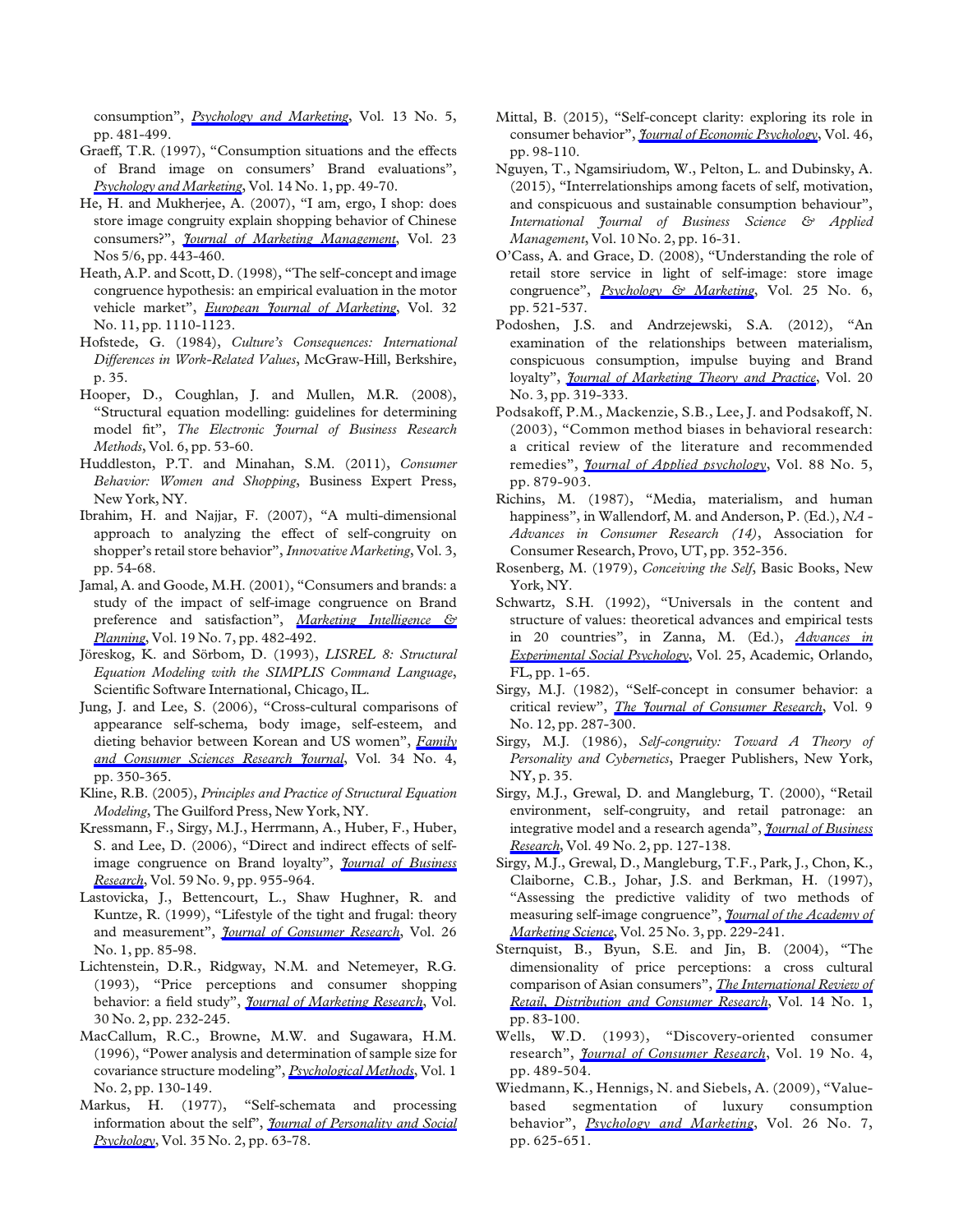consumption", *[Psychology](https://www.emeraldinsight.com/action/showLinks?doi=10.1108%2FJCM-01-2016-1686&crossref=10.1002%2F%28SICI%291520-6793%28199608%2913%3A5%3C481%3A%3AAID-MAR3%3E3.0.CO%3B2-5&isi=A1996UZ40600003&citationId=p_12) and Marketing*, Vol. 13 No. 5, pp. 481-499.

- <span id="page-11-0"></span>of Brand image on consumers' Brand evaluations", [Psychology and Marketing](https://www.emeraldinsight.com/action/showLinks?doi=10.1108%2FJCM-01-2016-1686&crossref=10.1002%2F%28SICI%291520-6793%28199701%2914%3A1%3C49%3A%3AAID-MAR4%3E3.0.CO%3B2-O&isi=A1997WB25700004&citationId=p_13), Vol. 14 No. 1, pp. 49-70. Graeff, T.R. (1997), "Consumption situations and the effects
- <span id="page-11-23"></span>He, H. and Mukherjee, A. (2007), "I am, ergo, I shop: does store image congruity explain shopping behavior of Chinese consumers?", *[Journal of Marketing Management](https://www.emeraldinsight.com/action/showLinks?doi=10.1108%2FJCM-01-2016-1686&crossref=10.1362%2F026725707X212766&citationId=p_14)*, Vol. 23 Nos 5/6, pp. 443-460.
- <span id="page-11-1"></span>Heath, A.P. and Scott, D. (1998), "The self-concept and image congruence hypothesis: an empirical evaluation in the motor vehicle market", *[European Journal of Marketing](https://www.emeraldinsight.com/action/showLinks?doi=10.1108%2FJCM-01-2016-1686&system=10.1108%2F03090569810243749&citationId=p_15)*, Vol. 32 No. 11, pp. 1110-1123.
- <span id="page-11-21"></span>Hofstede, G. (1984), Culture's Consequences: International Differences in Work-Related Values, McGraw-Hill, Berkshire, p. 35.
- <span id="page-11-12"></span>Hooper, D., Coughlan, J. and Mullen, M.R. (2008), "Structural equation modelling: guidelines for determining model fit", The Electronic Journal of Business Research Methods, Vol. 6, pp. 53-60.
- <span id="page-11-18"></span>Huddleston, P.T. and Minahan, S.M. (2011), Consumer Behavior: Women and Shopping, Business Expert Press, New York, NY.
- <span id="page-11-15"></span>Ibrahim, H. and Najjar, F. (2007), "A multi-dimensional approach to analyzing the effect of self-congruity on shopper's retail store behavior", Innovative Marketing, Vol. 3, pp. 54-68.
- <span id="page-11-2"></span>Jamal, A. and Goode, M.H. (2001), "Consumers and brands: a study of the impact of self-image congruence on Brand preference and satisfaction", [Marketing Intelligence &](https://www.emeraldinsight.com/action/showLinks?doi=10.1108%2FJCM-01-2016-1686&system=10.1108%2F02634500110408286&citationId=p_20) [Planning](https://www.emeraldinsight.com/action/showLinks?doi=10.1108%2FJCM-01-2016-1686&system=10.1108%2F02634500110408286&citationId=p_20), Vol. 19 No. 7, pp. 482-492.
- <span id="page-11-14"></span>Jöreskog, K. and Sörbom, D. (1993), LISREL 8: Structural Equation Modeling with the SIMPLIS Command Language, Scientific Software International, Chicago, IL.
- <span id="page-11-9"></span>Jung, J. and Lee, S. (2006), "Cross-cultural comparisons of appearance self-schema, body image, self-esteem, and dieting behavior between Korean and US women", [Family](https://www.emeraldinsight.com/action/showLinks?doi=10.1108%2FJCM-01-2016-1686&crossref=10.1177%2F1077727X06286419&citationId=p_22) [and Consumer Sciences Research Journal](https://www.emeraldinsight.com/action/showLinks?doi=10.1108%2FJCM-01-2016-1686&crossref=10.1177%2F1077727X06286419&citationId=p_22), Vol. 34 No. 4, pp. 350-365.
- <span id="page-11-13"></span>Kline, R.B. (2005), Principles and Practice of Structural Equation Modeling, The Guilford Press, New York, NY.
- <span id="page-11-8"></span>Kressmann, F., Sirgy, M.J., Herrmann, A., Huber, F., Huber, S. and Lee, D. (2006), "Direct and indirect effects of selfimage congruence on Brand loyalty", *[Journal of Business](https://www.emeraldinsight.com/action/showLinks?doi=10.1108%2FJCM-01-2016-1686&crossref=10.1016%2Fj.jbusres.2006.06.001&isi=000241430700001&citationId=p_24)* [Research](https://www.emeraldinsight.com/action/showLinks?doi=10.1108%2FJCM-01-2016-1686&crossref=10.1016%2Fj.jbusres.2006.06.001&isi=000241430700001&citationId=p_24), Vol. 59 No. 9, pp. 955-964.
- <span id="page-11-19"></span>Lastovicka, J., Bettencourt, L., Shaw Hughner, R. and Kuntze, R. (1999), "Lifestyle of the tight and frugal: theory and measurement", *[Journal of Consumer Research](https://www.emeraldinsight.com/action/showLinks?doi=10.1108%2FJCM-01-2016-1686&crossref=10.1086%2F209552&isi=000081004500006&citationId=p_25)*, Vol. 26 No. 1, pp. 85-98.
- <span id="page-11-16"></span>Lichtenstein, D.R., Ridgway, N.M. and Netemeyer, R.G. (1993), "Price perceptions and consumer shopping behavior: a field study", *[Journal of Marketing Research](https://www.emeraldinsight.com/action/showLinks?doi=10.1108%2FJCM-01-2016-1686&crossref=10.2307%2F3172830&isi=A1993LP13400008&citationId=p_26)*, Vol. 30 No. 2, pp. 232-245.
- <span id="page-11-11"></span>MacCallum, R.C., Browne, M.W. and Sugawara, H.M. (1996), "Power analysis and determination of sample size for covariance structure modeling", [Psychological Methods](https://www.emeraldinsight.com/action/showLinks?doi=10.1108%2FJCM-01-2016-1686&crossref=10.1037%2F1082-989X.1.2.130&isi=A1996VV65900002&citationId=p_27), Vol. 1 No. 2, pp. 130-149.
- <span id="page-11-10"></span>Markus, H. (1977), "Self-schemata and processing information about the self", *[Journal of Personality and Social](https://www.emeraldinsight.com/action/showLinks?doi=10.1108%2FJCM-01-2016-1686&crossref=10.1037%2F0022-3514.35.2.63&isi=A1977DA37800001&citationId=p_28)* [Psychology](https://www.emeraldinsight.com/action/showLinks?doi=10.1108%2FJCM-01-2016-1686&crossref=10.1037%2F0022-3514.35.2.63&isi=A1977DA37800001&citationId=p_28), Vol. 35 No. 2, pp. 63-78.
- <span id="page-11-27"></span>Mittal, B. (2015), "Self-concept clarity: exploring its role in consumer behavior", *[Journal of Economic Psychology](https://www.emeraldinsight.com/action/showLinks?doi=10.1108%2FJCM-01-2016-1686&crossref=10.1016%2Fj.joep.2014.11.003&isi=000349501600009&citationId=p_29)*, Vol. 46, pp. 98-110.
- <span id="page-11-24"></span>Nguyen, T., Ngamsiriudom, W., Pelton, L. and Dubinsky, A. (2015), "Interrelationships among facets of self, motivation, and conspicuous and sustainable consumption behaviour", International Journal of Business Science & Applied Management, Vol. 10 No. 2, pp. 16-31.
- <span id="page-11-6"></span>O'Cass, A. and Grace, D. (2008), "Understanding the role of retail store service in light of self-image: store image congruence", *[Psychology & Marketing](https://www.emeraldinsight.com/action/showLinks?doi=10.1108%2FJCM-01-2016-1686&crossref=10.1002%2Fmar.20223&isi=000256242400003&citationId=p_31)*, Vol. 25 No. 6, pp. 521-537.
- <span id="page-11-25"></span>Podoshen, J.S. and Andrzejewski, S.A. (2012), "An examination of the relationships between materialism, conspicuous consumption, impulse buying and Brand loyalty", *[Journal of Marketing Theory and Practice](https://www.emeraldinsight.com/action/showLinks?doi=10.1108%2FJCM-01-2016-1686&crossref=10.2753%2FMTP1069-6679200306&citationId=p_32)*, Vol. 20 No. 3, pp. 319-333.
- <span id="page-11-29"></span>Podsakoff, P.M., Mackenzie, S.B., Lee, J. and Podsakoff, N. (2003), "Common method biases in behavioral research: a critical review of the literature and recommended remedies", *<u>fournal of Applied psychology</u>*, Vol. 88 No. 5, pp. 879-903.
- <span id="page-11-28"></span>Richins, M. (1987), "Media, materialism, and human happiness", in Wallendorf, M. and Anderson, P. (Ed.), NA -Advances in Consumer Research (14), Association for Consumer Research, Provo, UT, pp. 352-356.
- Rosenberg, M. (1979), Conceiving the Self, Basic Books, New York, NY.
- <span id="page-11-22"></span>Schwartz, S.H. (1992), "Universals in the content and structure of values: theoretical advances and empirical tests in 20 countries", in Zanna, M. (Ed.), *[Advances in](https://www.emeraldinsight.com/action/showLinks?doi=10.1108%2FJCM-01-2016-1686&crossref=10.1016%2FS0065-2601%2808%2960281-6&citationId=p_36)* [Experimental Social Psychology](https://www.emeraldinsight.com/action/showLinks?doi=10.1108%2FJCM-01-2016-1686&crossref=10.1016%2FS0065-2601%2808%2960281-6&citationId=p_36), Vol. 25, Academic, Orlando, FL, pp. 1-65.
- <span id="page-11-5"></span>Sirgy, M.J. (1982), "Self-concept in consumer behavior: a critical review", *[The Journal of Consumer Research](https://www.emeraldinsight.com/action/showLinks?doi=10.1108%2FJCM-01-2016-1686&crossref=10.1086%2F208924&citationId=p_37)*, Vol. 9 No. 12, pp. 287-300.
- <span id="page-11-7"></span>Sirgy, M.J. (1986), Self-congruity: Toward A Theory of Personality and Cybernetics, Praeger Publishers, New York, NY, p. 35.
- <span id="page-11-4"></span>Sirgy, M.J., Grewal, D. and Mangleburg, T. (2000), "Retail environment, self-congruity, and retail patronage: an integrative model and a research agenda", *[Journal of Business](https://www.emeraldinsight.com/action/showLinks?doi=10.1108%2FJCM-01-2016-1686&crossref=10.1016%2FS0148-2963%2899%2900009-0&isi=000088293200005&citationId=p_39)* [Research](https://www.emeraldinsight.com/action/showLinks?doi=10.1108%2FJCM-01-2016-1686&crossref=10.1016%2FS0148-2963%2899%2900009-0&isi=000088293200005&citationId=p_39), Vol. 49 No. 2, pp. 127-138.
- <span id="page-11-3"></span>Sirgy, M.J., Grewal, D., Mangleburg, T.F., Park, J., Chon, K., Claiborne, C.B., Johar, J.S. and Berkman, H. (1997), "Assessing the predictive validity of two methods of measuring self-image congruence", *[Journal of the Academy of](https://www.emeraldinsight.com/action/showLinks?doi=10.1108%2FJCM-01-2016-1686&crossref=10.1177%2F0092070397253004&isi=000071596900004&citationId=p_40)* [Marketing Science](https://www.emeraldinsight.com/action/showLinks?doi=10.1108%2FJCM-01-2016-1686&crossref=10.1177%2F0092070397253004&isi=000071596900004&citationId=p_40), Vol. 25 No. 3, pp. 229-241.
- <span id="page-11-17"></span>Sternquist, B., Byun, S.E. and Jin, B. (2004), "The dimensionality of price perceptions: a cross cultural comparison of Asian consumers", [The International Review of](https://www.emeraldinsight.com/action/showLinks?doi=10.1108%2FJCM-01-2016-1686&crossref=10.1080%2F0959396032000154310&citationId=p_41) [Retail, Distribution and Consumer Research](https://www.emeraldinsight.com/action/showLinks?doi=10.1108%2FJCM-01-2016-1686&crossref=10.1080%2F0959396032000154310&citationId=p_41), Vol. 14 No. 1, pp. 83-100.
- <span id="page-11-20"></span>Wells, W.D. (1993), "Discovery-oriented consumer research", *[Journal of Consumer Research](https://www.emeraldinsight.com/action/showLinks?doi=10.1108%2FJCM-01-2016-1686&crossref=10.1086%2F209318&isi=A1993KQ35100002&citationId=p_42)*, Vol. 19 No. 4, pp. 489-504.
- <span id="page-11-26"></span>Wiedmann, K., Hennigs, N. and Siebels, A. (2009), "Valuebased segmentation of luxury consumption behavior", [Psychology and Marketing](https://www.emeraldinsight.com/action/showLinks?doi=10.1108%2FJCM-01-2016-1686&crossref=10.1002%2Fmar.20292&isi=000267413900005&citationId=p_43), Vol. 26 No. 7, pp. 625-651.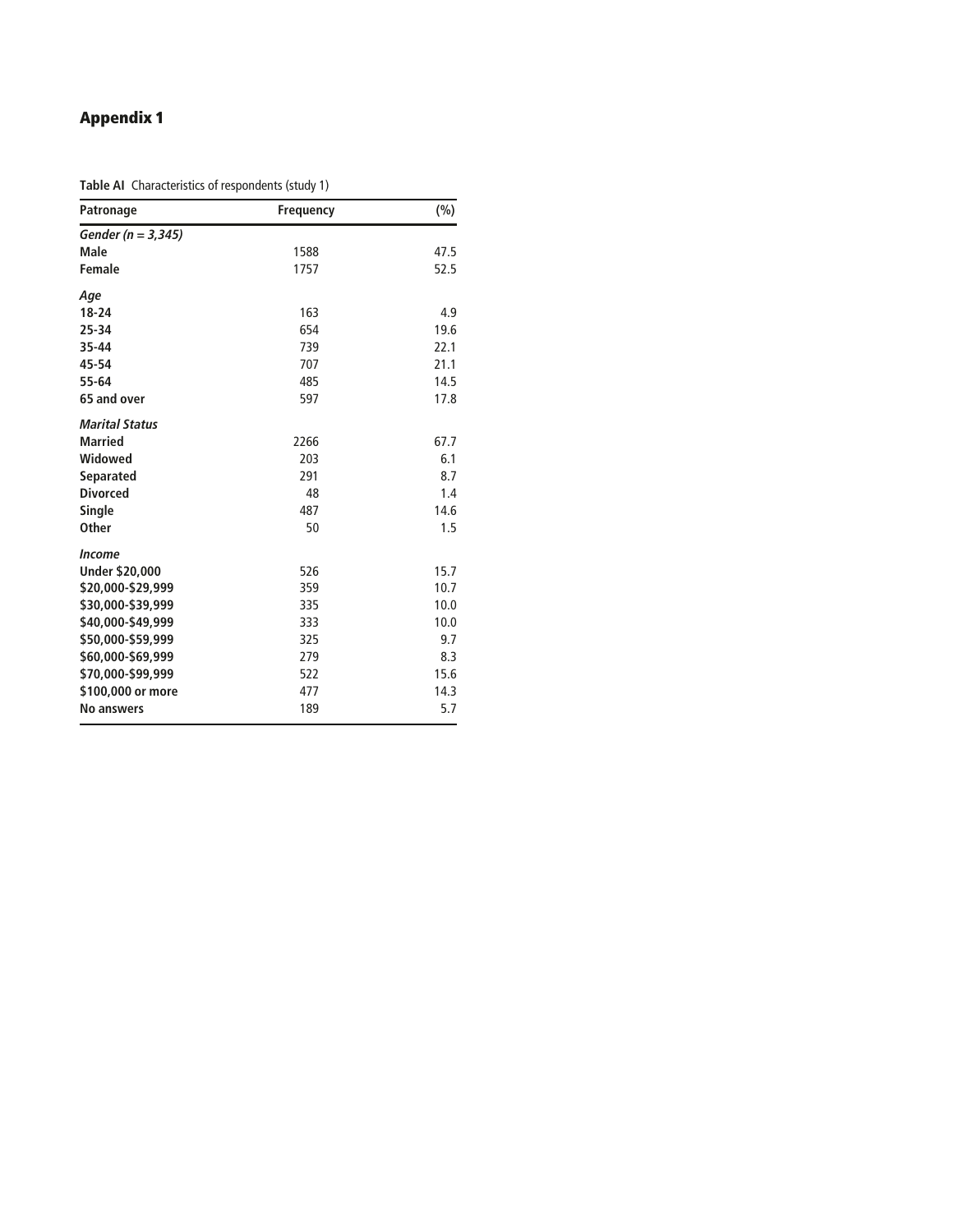<span id="page-12-0"></span>Table AI Characteristics of respondents (study 1)

| Patronage              | Frequency | (%)  |
|------------------------|-----------|------|
| Gender ( $n = 3,345$ ) |           |      |
| Male                   | 1588      | 47.5 |
| Female                 | 1757      | 52.5 |
| Age                    |           |      |
| $18 - 24$              | 163       | 4.9  |
| 25-34                  | 654       | 19.6 |
| 35-44                  | 739       | 22.1 |
| 45-54                  | 707       | 21.1 |
| 55-64                  | 485       | 14.5 |
| 65 and over            | 597       | 17.8 |
| <b>Marital Status</b>  |           |      |
| <b>Married</b>         | 2266      | 67.7 |
| Widowed                | 203       | 6.1  |
| <b>Separated</b>       | 291       | 8.7  |
| <b>Divorced</b>        | 48        | 1.4  |
| Single                 | 487       | 14.6 |
| Other                  | 50        | 1.5  |
| <b>Income</b>          |           |      |
| <b>Under \$20,000</b>  | 526       | 15.7 |
| \$20,000-\$29,999      | 359       | 10.7 |
| \$30,000-\$39,999      | 335       | 10.0 |
| \$40,000-\$49,999      | 333       | 10.0 |
| \$50,000-\$59,999      | 325       | 9.7  |
| \$60,000-\$69,999      | 279       | 8.3  |
| \$70,000-\$99,999      | 522       | 15.6 |
| \$100,000 or more      | 477       | 14.3 |
| <b>No answers</b>      | 189       | 5.7  |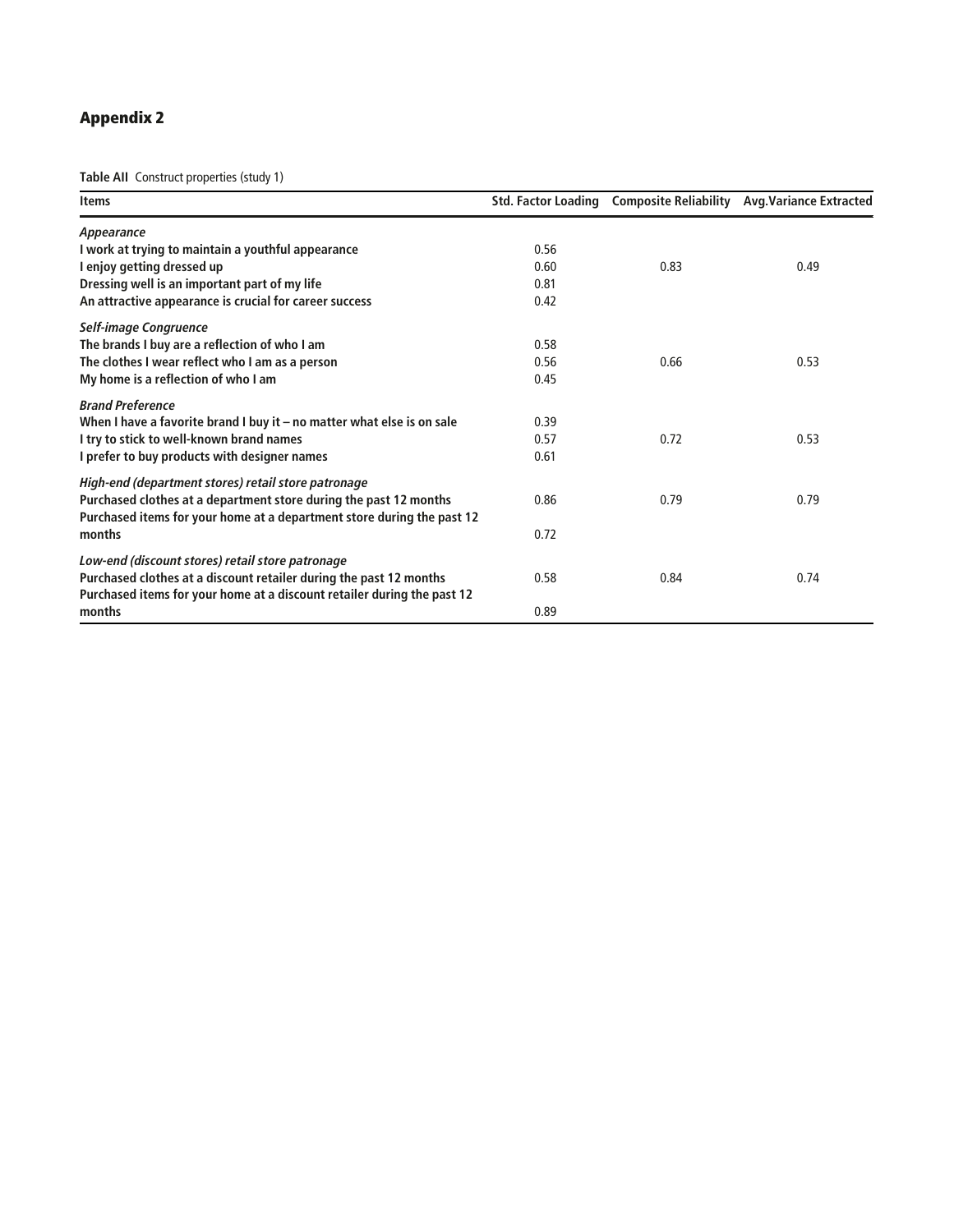<span id="page-13-0"></span>Table AII Construct properties (study 1)

| Items                                                                    | <b>Std. Factor Loading</b> |      | <b>Composite Reliability Avg. Variance Extracted</b> |
|--------------------------------------------------------------------------|----------------------------|------|------------------------------------------------------|
| Appearance                                                               |                            |      |                                                      |
| I work at trying to maintain a youthful appearance                       | 0.56                       |      |                                                      |
| I enjoy getting dressed up                                               | 0.60                       | 0.83 | 0.49                                                 |
| Dressing well is an important part of my life                            | 0.81                       |      |                                                      |
| An attractive appearance is crucial for career success                   | 0.42                       |      |                                                      |
| <b>Self-image Congruence</b>                                             |                            |      |                                                      |
| The brands I buy are a reflection of who I am                            | 0.58                       |      |                                                      |
| The clothes I wear reflect who I am as a person                          | 0.56                       | 0.66 | 0.53                                                 |
| My home is a reflection of who I am                                      | 0.45                       |      |                                                      |
| <b>Brand Preference</b>                                                  |                            |      |                                                      |
| When I have a favorite brand I buy it $-$ no matter what else is on sale | 0.39                       |      |                                                      |
| I try to stick to well-known brand names                                 | 0.57                       | 0.72 | 0.53                                                 |
| I prefer to buy products with designer names                             | 0.61                       |      |                                                      |
| High-end (department stores) retail store patronage                      |                            |      |                                                      |
| Purchased clothes at a department store during the past 12 months        | 0.86                       | 0.79 | 0.79                                                 |
| Purchased items for your home at a department store during the past 12   |                            |      |                                                      |
| months                                                                   | 0.72                       |      |                                                      |
| Low-end (discount stores) retail store patronage                         |                            |      |                                                      |
| Purchased clothes at a discount retailer during the past 12 months       | 0.58                       | 0.84 | 0.74                                                 |
| Purchased items for your home at a discount retailer during the past 12  |                            |      |                                                      |
| months                                                                   | 0.89                       |      |                                                      |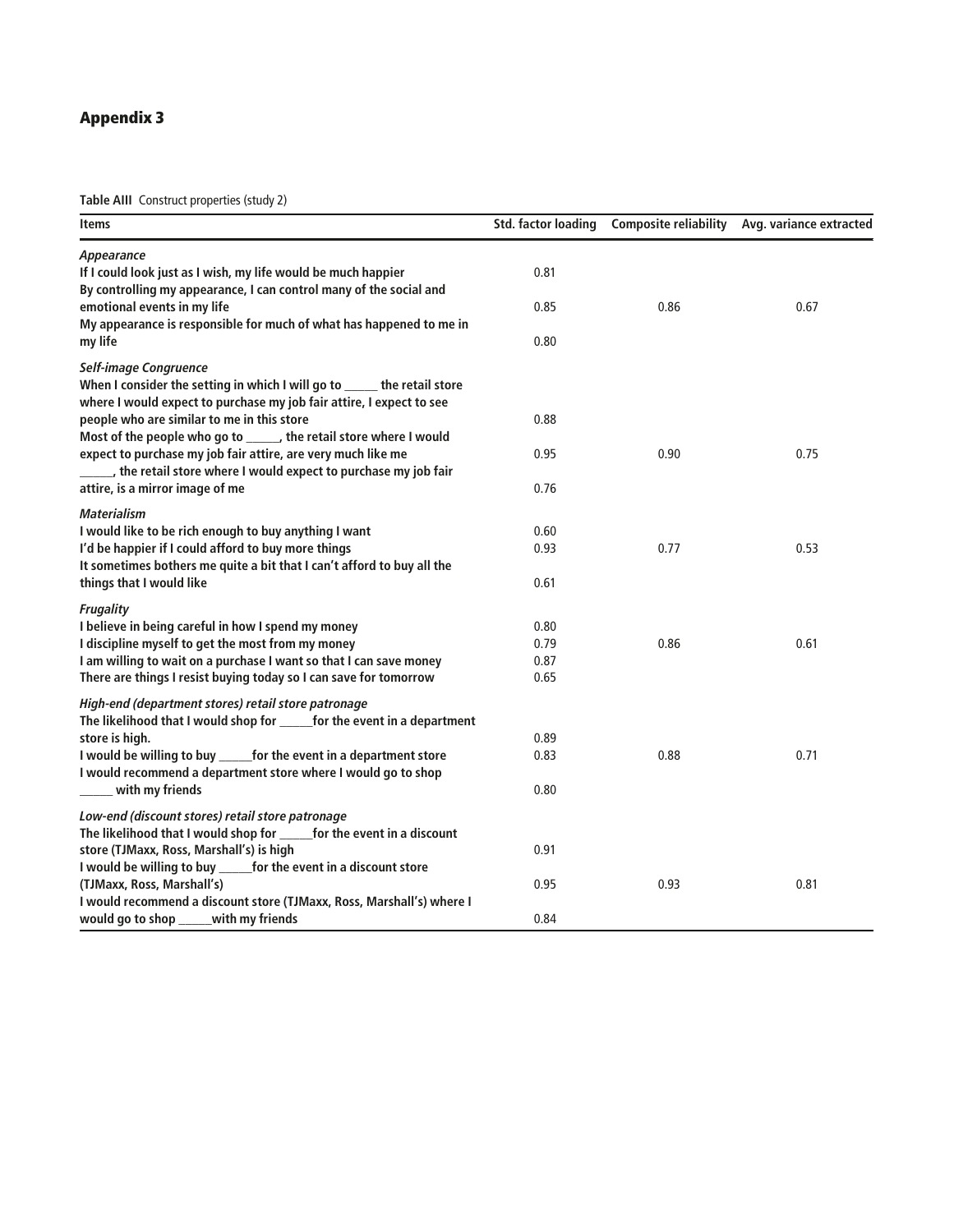<span id="page-14-0"></span>Table AIII Construct properties (study 2)

| <b>Items</b>                                                                   | <b>Std. factor loading</b> |      | Composite reliability Avg. variance extracted |
|--------------------------------------------------------------------------------|----------------------------|------|-----------------------------------------------|
| Appearance                                                                     |                            |      |                                               |
| If I could look just as I wish, my life would be much happier                  | 0.81                       |      |                                               |
| By controlling my appearance, I can control many of the social and             |                            |      |                                               |
| emotional events in my life                                                    | 0.85                       | 0.86 | 0.67                                          |
| My appearance is responsible for much of what has happened to me in<br>my life | 0.80                       |      |                                               |
| <b>Self-image Congruence</b>                                                   |                            |      |                                               |
| When I consider the setting in which I will go to _____ the retail store       |                            |      |                                               |
| where I would expect to purchase my job fair attire, I expect to see           |                            |      |                                               |
| people who are similar to me in this store                                     | 0.88                       |      |                                               |
| Most of the people who go to ______, the retail store where I would            |                            |      |                                               |
| expect to purchase my job fair attire, are very much like me                   | 0.95                       | 0.90 | 0.75                                          |
| the retail store where I would expect to purchase my job fair                  |                            |      |                                               |
| attire, is a mirror image of me                                                | 0.76                       |      |                                               |
| <b>Materialism</b>                                                             |                            |      |                                               |
| I would like to be rich enough to buy anything I want                          | 0.60                       |      |                                               |
| I'd be happier if I could afford to buy more things                            | 0.93                       | 0.77 | 0.53                                          |
| It sometimes bothers me quite a bit that I can't afford to buy all the         |                            |      |                                               |
| things that I would like                                                       | 0.61                       |      |                                               |
| <b>Frugality</b>                                                               |                            |      |                                               |
| I believe in being careful in how I spend my money                             | 0.80                       |      |                                               |
| I discipline myself to get the most from my money                              | 0.79                       | 0.86 | 0.61                                          |
| I am willing to wait on a purchase I want so that I can save money             | 0.87                       |      |                                               |
| There are things I resist buying today so I can save for tomorrow              | 0.65                       |      |                                               |
| High-end (department stores) retail store patronage                            |                            |      |                                               |
| The likelihood that I would shop for ______ for the event in a department      |                            |      |                                               |
| store is high.                                                                 | 0.89                       |      |                                               |
| I would be willing to buy ______ for the event in a department store           | 0.83                       | 0.88 | 0.71                                          |
| I would recommend a department store where I would go to shop                  |                            |      |                                               |
| with my friends                                                                | 0.80                       |      |                                               |
| Low-end (discount stores) retail store patronage                               |                            |      |                                               |
| The likelihood that I would shop for ______ for the event in a discount        |                            |      |                                               |
| store (TJMaxx, Ross, Marshall's) is high                                       | 0.91                       |      |                                               |
| I would be willing to buy ______ for the event in a discount store             |                            |      |                                               |
| (TJMaxx, Ross, Marshall's)                                                     | 0.95                       | 0.93 | 0.81                                          |
| I would recommend a discount store (TJMaxx, Ross, Marshall's) where I          |                            |      |                                               |
| would go to shop _____with my friends                                          | 0.84                       |      |                                               |